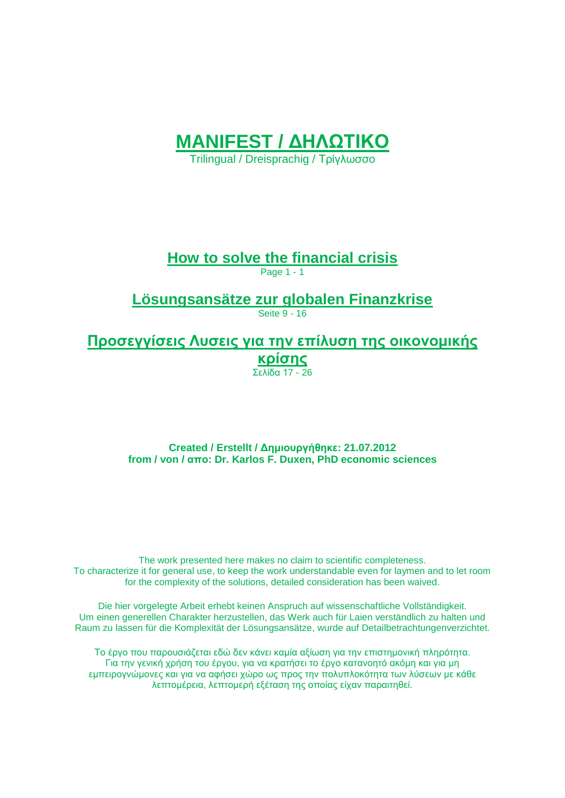

Trilingual / Dreisprachig / Τρίγλωσσο

**How to solve the financial crisis**

Page 1 - 1

**Lösungsansätze zur globalen Finanzkrise**

Seite 9 - 16

**Προσεγγίσεις Λυσεις για την επίλυση της οικονομικής κρίσης** Σελίδα 17 - 26

**Created / Erstellt / Δημιουργήθηκε: 21.07.2012 from / von / απo: Dr. Karlos F. Duxen, PhD economic sciences**

The work presented here makes no claim to scientific completeness. To characterize it for general use, to keep the work understandable even for laymen and to let room for the complexity of the solutions, detailed consideration has been waived.

Die hier vorgelegte Arbeit erhebt keinen Anspruch auf wissenschaftliche Vollständigkeit. Um einen generellen Charakter herzustellen, das Werk auch für Laien verständlich zu halten und Raum zu lassen für die Komplexität der Lösungsansätze, wurde auf Detailbetrachtungenverzichtet.

Το έργο που παρουσιάζεται εδώ δεν κάνει καμία αξίωση για την επιστημονική πληρότητα. Για την γενική χρήση του έργου, για να κρατήσει το έργο κατανοητό ακόμη και για μη εμπειρογνώμονες και για να αφήσει χώρο ως προς την πολυπλοκότητα των λύσεων με κάθε λεπτομέρεια, λεπτομερή εξέταση της οποίας είχαν παραιτηθεί.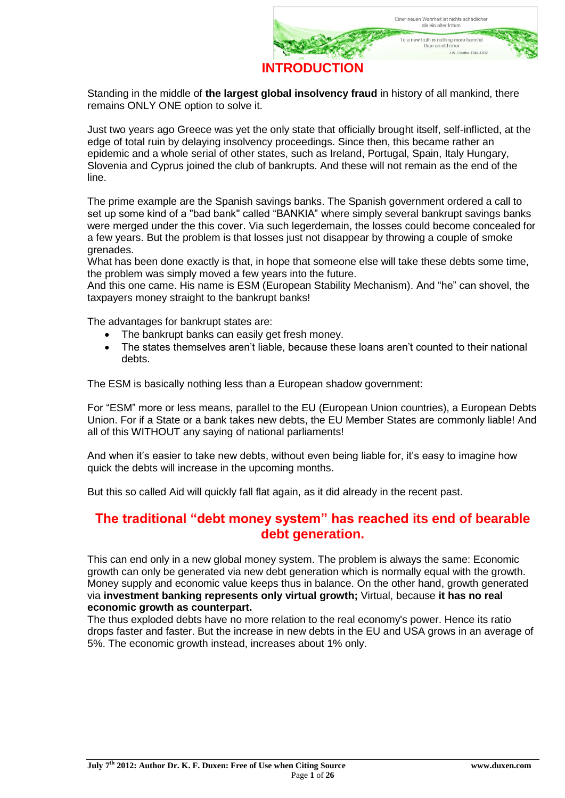

Standing in the middle of **the largest global insolvency fraud** in history of all mankind, there remains ONLY ONE option to solve it.

Just two years ago Greece was yet the only state that officially brought itself, self-inflicted, at the edge of total ruin by delaying insolvency proceedings. Since then, this became rather an epidemic and a whole serial of other states, such as Ireland, Portugal, Spain, Italy Hungary, Slovenia and Cyprus joined the club of bankrupts. And these will not remain as the end of the line.

The prime example are the Spanish savings banks. The Spanish government ordered a call to set up some kind of a "bad bank" called "BANKIA" where simply several bankrupt savings banks were merged under the this cover. Via such legerdemain, the losses could become concealed for a few years. But the problem is that losses just not disappear by throwing a couple of smoke grenades.

What has been done exactly is that, in hope that someone else will take these debts some time, the problem was simply moved a few years into the future.

And this one came. His name is ESM (European Stability Mechanism). And "he" can shovel, the taxpayers money straight to the bankrupt banks!

The advantages for bankrupt states are:

- The bankrupt banks can easily get fresh money.
- The states themselves aren't liable, because these loans aren't counted to their national debts.

The ESM is basically nothing less than a European shadow government:

For "ESM" more or less means, parallel to the EU (European Union countries), a European Debts Union. For if a State or a bank takes new debts, the EU Member States are commonly liable! And all of this WITHOUT any saying of national parliaments!

And when it's easier to take new debts, without even being liable for, it's easy to imagine how quick the debts will increase in the upcoming months.

But this so called Aid will quickly fall flat again, as it did already in the recent past.

#### **The traditional "debt money system" has reached its end of bearable debt generation.**

This can end only in a new global money system. The problem is always the same: Economic growth can only be generated via new debt generation which is normally equal with the growth. Money supply and economic value keeps thus in balance. On the other hand, growth generated via **investment banking represents only virtual growth;** Virtual, because **it has no real economic growth as counterpart.**

The thus exploded debts have no more relation to the real economy's power. Hence its ratio drops faster and faster. But the increase in new debts in the EU and USA grows in an average of 5%. The economic growth instead, increases about 1% only.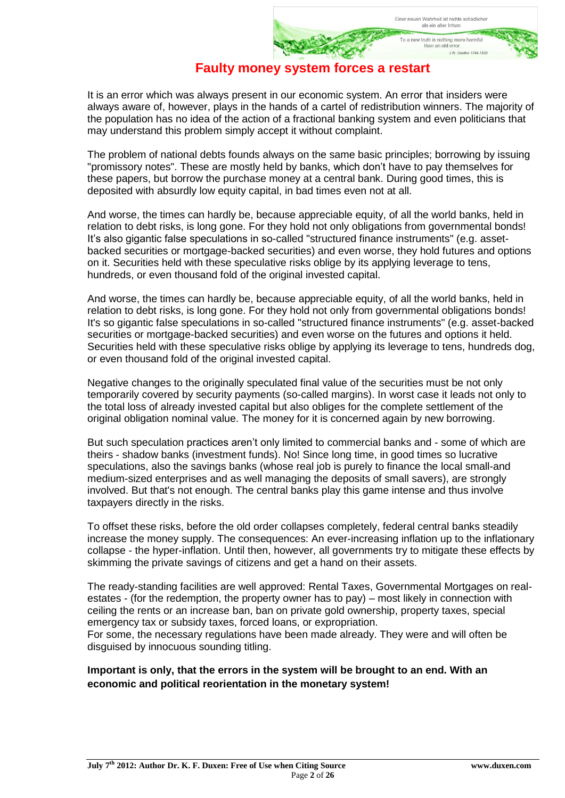#### **Faulty money system forces a restart**

It is an error which was always present in our economic system. An error that insiders were always aware of, however, plays in the hands of a cartel of redistribution winners. The majority of the population has no idea of the action of a fractional banking system and even politicians that may understand this problem simply accept it without complaint.

The problem of national debts founds always on the same basic principles; borrowing by issuing "promissory notes". These are mostly held by banks, which don't have to pay themselves for these papers, but borrow the purchase money at a central bank. During good times, this is deposited with absurdly low equity capital, in bad times even not at all.

And worse, the times can hardly be, because appreciable equity, of all the world banks, held in relation to debt risks, is long gone. For they hold not only obligations from governmental bonds! It's also gigantic false speculations in so-called "structured finance instruments" (e.g. assetbacked securities or mortgage-backed securities) and even worse, they hold futures and options on it. Securities held with these speculative risks oblige by its applying leverage to tens, hundreds, or even thousand fold of the original invested capital.

And worse, the times can hardly be, because appreciable equity, of all the world banks, held in relation to debt risks, is long gone. For they hold not only from governmental obligations bonds! It's so gigantic false speculations in so-called "structured finance instruments" (e.g. asset-backed securities or mortgage-backed securities) and even worse on the futures and options it held. Securities held with these speculative risks oblige by applying its leverage to tens, hundreds dog, or even thousand fold of the original invested capital.

Negative changes to the originally speculated final value of the securities must be not only temporarily covered by security payments (so-called margins). In worst case it leads not only to the total loss of already invested capital but also obliges for the complete settlement of the original obligation nominal value. The money for it is concerned again by new borrowing.

But such speculation practices aren't only limited to commercial banks and - some of which are theirs - shadow banks (investment funds). No! Since long time, in good times so lucrative speculations, also the savings banks (whose real job is purely to finance the local small-and medium-sized enterprises and as well managing the deposits of small savers), are strongly involved. But that's not enough. The central banks play this game intense and thus involve taxpayers directly in the risks.

To offset these risks, before the old order collapses completely, federal central banks steadily increase the money supply. The consequences: An ever-increasing inflation up to the inflationary collapse - the hyper-inflation. Until then, however, all governments try to mitigate these effects by skimming the private savings of citizens and get a hand on their assets.

The ready-standing facilities are well approved: Rental Taxes, Governmental Mortgages on realestates - (for the redemption, the property owner has to pay) – most likely in connection with ceiling the rents or an increase ban, ban on private gold ownership, property taxes, special emergency tax or subsidy taxes, forced loans, or expropriation. For some, the necessary regulations have been made already. They were and will often be

disguised by innocuous sounding titling.

#### **Important is only, that the errors in the system will be brought to an end. With an economic and political reorientation in the monetary system!**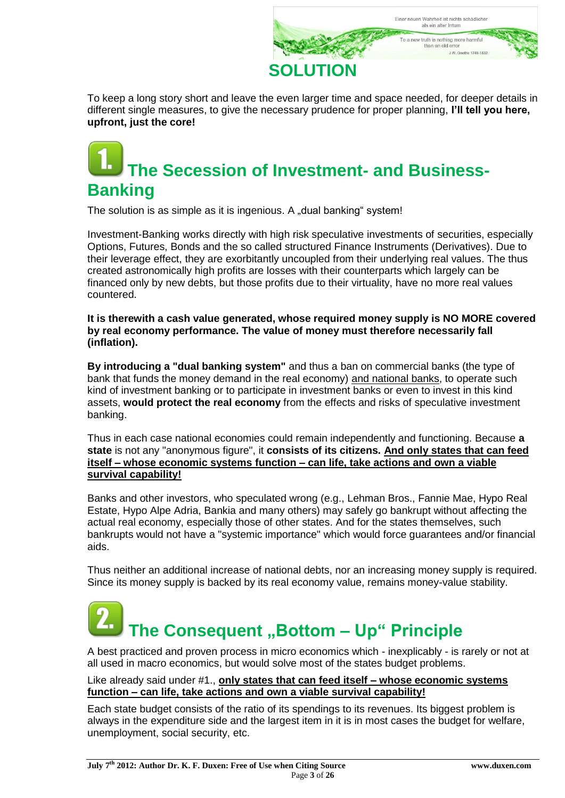

To keep a long story short and leave the even larger time and space needed, for deeper details in different single measures, to give the necessary prudence for proper planning, **I'll tell you here, upfront, just the core!**

## **The Secession of Investment- and Business-Banking**

The solution is as simple as it is ingenious. A "dual banking" system!

Investment-Banking works directly with high risk speculative investments of securities, especially Options, Futures, Bonds and the so called structured Finance Instruments (Derivatives). Due to their leverage effect, they are exorbitantly uncoupled from their underlying real values. The thus created astronomically high profits are losses with their counterparts which largely can be financed only by new debts, but those profits due to their virtuality, have no more real values countered.

**It is therewith a cash value generated, whose required money supply is NO MORE covered by real economy performance. The value of money must therefore necessarily fall (inflation).**

**By introducing a "dual banking system"** and thus a ban on commercial banks (the type of bank that funds the money demand in the real economy) and national banks, to operate such kind of investment banking or to participate in investment banks or even to invest in this kind assets, **would protect the real economy** from the effects and risks of speculative investment banking.

Thus in each case national economies could remain independently and functioning. Because **a state** is not any "anonymous figure", it **consists of its citizens. And only states that can feed itself – whose economic systems function – can life, take actions and own a viable survival capability!**

Banks and other investors, who speculated wrong (e.g., Lehman Bros., Fannie Mae, Hypo Real Estate, Hypo Alpe Adria, Bankia and many others) may safely go bankrupt without affecting the actual real economy, especially those of other states. And for the states themselves, such bankrupts would not have a "systemic importance" which would force guarantees and/or financial aids.

Thus neither an additional increase of national debts, nor an increasing money supply is required. Since its money supply is backed by its real economy value, remains money-value stability.

# **The Consequent** "Bottom - Up" Principle

A best practiced and proven process in micro economics which - inexplicably - is rarely or not at all used in macro economics, but would solve most of the states budget problems.

#### Like already said under #1., **only states that can feed itself – whose economic systems function – can life, take actions and own a viable survival capability!**

Each state budget consists of the ratio of its spendings to its revenues. Its biggest problem is always in the expenditure side and the largest item in it is in most cases the budget for welfare, unemployment, social security, etc.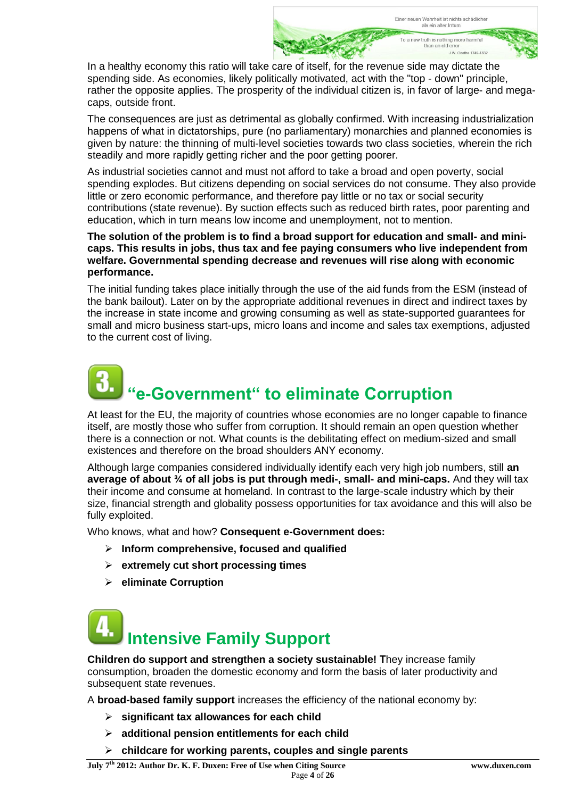

In a healthy economy this ratio will take care of itself, for the revenue side may dictate the spending side. As economies, likely politically motivated, act with the "top - down" principle, rather the opposite applies. The prosperity of the individual citizen is, in favor of large- and megacaps, outside front.

The consequences are just as detrimental as globally confirmed. With increasing industrialization happens of what in dictatorships, pure (no parliamentary) monarchies and planned economies is given by nature: the thinning of multi-level societies towards two class societies, wherein the rich steadily and more rapidly getting richer and the poor getting poorer.

As industrial societies cannot and must not afford to take a broad and open poverty, social spending explodes. But citizens depending on social services do not consume. They also provide little or zero economic performance, and therefore pay little or no tax or social security contributions (state revenue). By suction effects such as reduced birth rates, poor parenting and education, which in turn means low income and unemployment, not to mention.

#### **The solution of the problem is to find a broad support for education and small- and minicaps. This results in jobs, thus tax and fee paying consumers who live independent from welfare. Governmental spending decrease and revenues will rise along with economic performance.**

The initial funding takes place initially through the use of the aid funds from the ESM (instead of the bank bailout). Later on by the appropriate additional revenues in direct and indirect taxes by the increase in state income and growing consuming as well as state-supported guarantees for small and micro business start-ups, micro loans and income and sales tax exemptions, adjusted to the current cost of living.

# **"e-Government" to eliminate Corruption**

At least for the EU, the majority of countries whose economies are no longer capable to finance itself, are mostly those who suffer from corruption. It should remain an open question whether there is a connection or not. What counts is the debilitating effect on medium-sized and small existences and therefore on the broad shoulders ANY economy.

Although large companies considered individually identify each very high job numbers, still **an average of about ¾ of all jobs is put through medi-, small- and mini-caps.** And they will tax their income and consume at homeland. In contrast to the large-scale industry which by their size, financial strength and globality possess opportunities for tax avoidance and this will also be fully exploited.

Who knows, what and how? **Consequent e-Government does:**

- **Inform comprehensive, focused and qualified**
- **extremely cut short processing times**
- **eliminate Corruption**

# **Intensive Family Support**

**Children do support and strengthen a society sustainable! Τ**hey increase family consumption, broaden the domestic economy and form the basis of later productivity and subsequent state revenues.

A **broad-based family support** increases the efficiency of the national economy by:

- **significant tax allowances for each child**
- **additional pension entitlements for each child**
- **childcare for working parents, couples and single parents**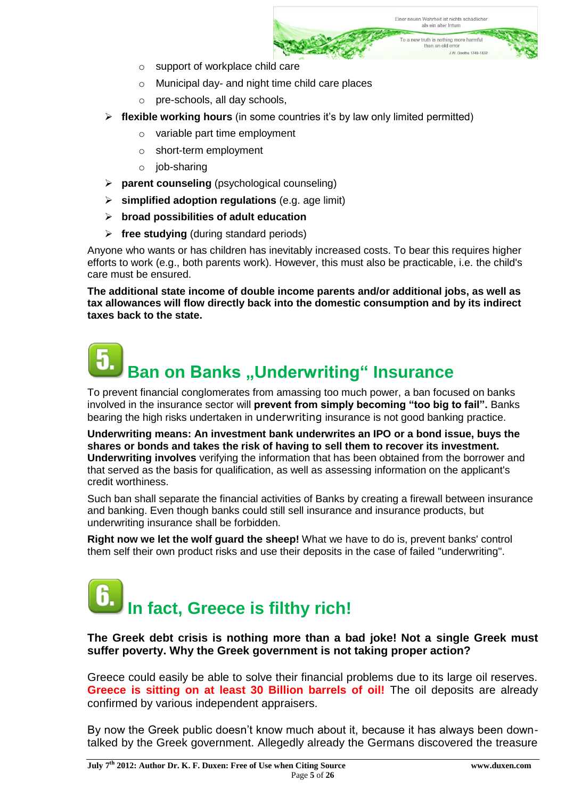

- o support of workplace child care
- o Municipal day- and night time child care places
- o pre-schools, all day schools,
- **flexible working hours** (in some countries it's by law only limited permitted)
	- o variable part time employment
	- o short-term employment
	- o job-sharing
- **parent counseling** (psychological counseling)
- **simplified adoption regulations** (e.g. age limit)
- **broad possibilities of adult education**
- **free studying** (during standard periods)

Anyone who wants or has children has inevitably increased costs. To bear this requires higher efforts to work (e.g., both parents work). However, this must also be practicable, i.e. the child's care must be ensured.

**The additional state income of double income parents and/or additional jobs, as well as tax allowances will flow directly back into the domestic consumption and by its indirect taxes back to the state.**

# **Ban on Banks "Underwriting" Insurance**

To prevent financial conglomerates from amassing too much power, a ban focused on banks involved in the insurance sector will **prevent from simply becoming "too big to fail".** Banks bearing the high risks undertaken in [underwriting](http://www.investopedia.com/terms/u/underwriting.asp#axzz1rYFTbCfM) insurance is not good banking practice.

**Underwriting means: An investment bank underwrites an IPO or a bond issue, buys the shares or bonds and takes the risk of having to sell them to recover its investment. Underwriting involves** verifying the information that has been obtained from the borrower and that served as the basis for qualification, as well as assessing information on the applicant's credit worthiness.

Such ban shall separate the financial activities of Banks by creating a firewall between insurance and banking. Even though banks could still sell insurance and insurance products, but underwriting insurance shall be forbidden.

**Right now we let the wolf guard the sheep!** What we have to do is, prevent banks' control them self their own product risks and use their deposits in the case of failed "underwriting".

# **In fact, Greece is filthy rich!**

#### **The Greek debt crisis is nothing more than a bad joke! Not a single Greek must suffer poverty. Why the Greek government is not taking proper action?**

Greece could easily be able to solve their financial problems due to its large oil reserves. **Greece is sitting on at least 30 Billion barrels of oil!** The oil deposits are already confirmed by various independent appraisers.

By now the Greek public doesn't know much about it, because it has always been downtalked by the Greek government. Allegedly already the Germans discovered the treasure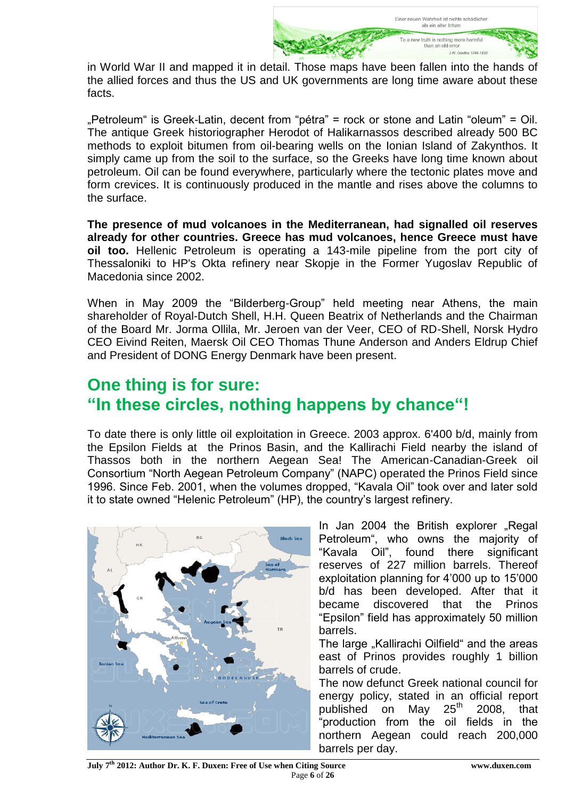

in World War II and mapped it in detail. Those maps have been fallen into the hands of the allied forces and thus the US and UK governments are long time aware about these facts.

"Petroleum" is Greek-Latin, decent from "pétra" = rock or stone and Latin "oleum" = Oil. The antique Greek historiographer Herodot of Halikarnassos described already 500 BC methods to exploit bitumen from oil-bearing wells on the Ionian Island of Zakynthos. It simply came up from the soil to the surface, so the Greeks have long time known about petroleum. Oil can be found everywhere, particularly where the tectonic plates move and form crevices. It is continuously produced in the mantle and rises above the columns to the surface.

**The presence of mud volcanoes in the Mediterranean, had signalled oil reserves already for other countries. Greece has mud volcanoes, hence Greece must have oil too.** Hellenic Petroleum is operating a 143-mile pipeline from the port city of Thessaloniki to HP's Okta refinery near Skopje in the Former Yugoslav Republic of Macedonia since 2002.

When in May 2009 the "Bilderberg-Group" held meeting near Athens, the main shareholder of Royal-Dutch Shell, H.H. Queen Beatrix of Netherlands and the Chairman of the Board Mr. Jorma Ollila, Mr. Jeroen van der Veer, CEO of RD-Shell, Norsk Hydro CEO Eivind Reiten, Maersk Oil CEO Thomas Thune Anderson and Anders Eldrup Chief and President of DONG Energy Denmark have been present.

### **One thing is for sure: "In these circles, nothing happens by chance"!**

To date there is only little oil exploitation in Greece. 2003 approx. 6'400 b/d, mainly from the Epsilon Fields at the Prinos Basin, and the Kallirachi Field nearby the island of Thassos both in the northern Aegean Sea! The American-Canadian-Greek oil Consortium "North Aegean Petroleum Company" (NAPC) operated the Prinos Field since 1996. Since Feb. 2001, when the volumes dropped, "Kavala Oil" took over and later sold it to state owned "Helenic Petroleum" (HP), the country's largest refinery.



In Jan 2004 the British explorer "Regal Petroleum", who owns the majority of "Kavala Oil", found there significant reserves of 227 million barrels. Thereof exploitation planning for 4'000 up to 15'000 b/d has been developed. After that it became discovered that the Prinos "Epsilon" field has approximately 50 million barrels.

The large "Kallirachi Oilfield" and the areas east of Prinos provides roughly 1 billion barrels of crude.

The now defunct Greek national council for energy policy, stated in an official report published on May 25<sup>th</sup> 2008, that "production from the oil fields in the northern Aegean could reach 200,000 barrels per day.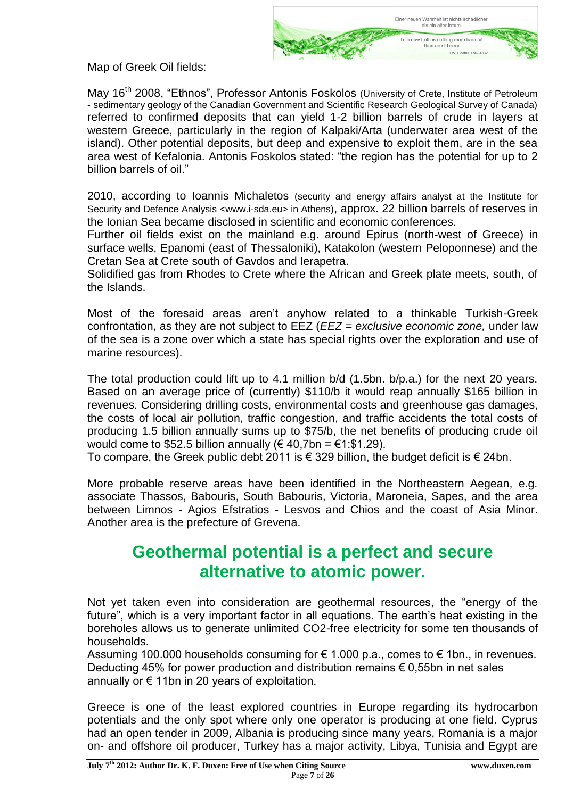

Map of Greek Oil fields:

Mav 16<sup>th</sup> 2008, "Ethnos", Professor [Antonis Foskolos](http://www.ethnos.gr/article.asp?catid=11424&subid=2&tag=8470&pubid=986428) (University of Crete, Institute of Petroleum - sedimentary geology of the Canadian Government and Scientific Research Geological Survey of Canada) referred to confirmed deposits that can yield 1-2 billion barrels of crude in layers at western Greece, particularly in the region of Kalpaki/Arta (underwater area west of the island). Other potential deposits, but deep and expensive to exploit them, are in the sea area west of Kefalonia. [Antonis Foskolos](http://www.ethnos.gr/article.asp?catid=11424&subid=2&tag=8470&pubid=986428) stated: "the region has the potential for up to 2 billion barrels of oil."

2010, according to Ioannis Michaletos (security and energy affairs analyst at the Institute for Security and Defence Analysis <www.i-sda.eu> in Athens), approx. 22 billion barrels of reserves in the Ionian Sea became disclosed in scientific and economic conferences.

Further oil fields exist on the mainland e.g. around Epirus (north-west of Greece) in surface wells, Epanomi (east of Thessaloniki), Katakolon (western Peloponnese) and the Cretan Sea at Crete south of Gavdos and Ierapetra.

Solidified gas from Rhodes to Crete where the African and Greek plate meets, south, of the Islands.

Most of the foresaid areas aren't anyhow related to a thinkable Turkish-Greek confrontation, as they are not subject to EEZ (*EEZ = exclusive economic zone,* under law of the sea is a zone over which a state has special rights over the exploration and use of marine resources).

The total production could lift up to 4.1 million b/d (1.5bn. b/p.a.) for the next 20 years. Based on an average price of (currently) \$110/b it would reap annually \$165 billion in revenues. Considering drilling costs, environmental costs and greenhouse gas damages, the costs of local air pollution, traffic congestion, and traffic accidents the total costs of producing 1.5 billion annually sums up to \$75/b, the net benefits of producing crude oil would come to \$52.5 billion annually ( $\in$  40,7bn =  $\in$ 1:\$1.29).

To compare, the Greek public debt 2011 is € 329 billion, the budget deficit is € 24bn.

More probable reserve areas have been identified in the Northeastern Aegean, e.g. associate Thassos, Babouris, South Babouris, Victoria, Maroneia, Sapes, and the area between Limnos - Agios Efstratios - Lesvos and Chios and the coast of Asia Minor. Another area is the prefecture of Grevena.

### **Geothermal potential is a perfect and secure alternative to atomic power.**

Not yet taken even into consideration are geothermal resources, the "energy of the future", which is a very important factor in all equations. The earth's heat existing in the boreholes allows us to generate unlimited CO2-free electricity for some ten thousands of households.

Assuming 100.000 households consuming for  $\epsilon$  1.000 p.a., comes to  $\epsilon$  1bn., in revenues. Deducting 45% for power production and distribution remains € 0,55bn in net sales annually or  $\epsilon$  11bn in 20 years of exploitation.

Greece is one of the least explored countries in Europe regarding its hydrocarbon potentials and the only spot where only one operator is producing at one field. Cyprus had an open tender in 2009, Albania is producing since many years, Romania is a major on- and offshore oil producer, Turkey has a major activity, Libya, Tunisia and Egypt are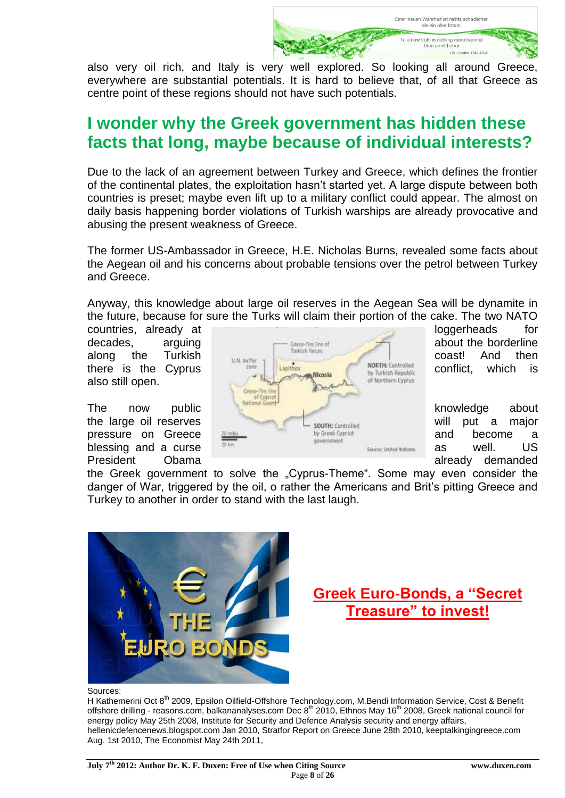Finer neuen Wahrheit ist nichts schädliche als ein alter Irrtum To a new truth is nothing more harmful than an old error 1W Goothe 1749-1832

also very oil rich, and Italy is very well explored. So looking all around Greece, everywhere are substantial potentials. It is hard to believe that, of all that Greece as centre point of these regions should not have such potentials.

### **I wonder why the Greek government has hidden these facts that long, maybe because of individual interests?**

Due to the lack of an agreement between Turkey and Greece, which defines the frontier of the continental plates, the exploitation hasn't started yet. A large dispute between both countries is preset; maybe even lift up to a military conflict could appear. The almost on daily basis happening border violations of Turkish warships are already provocative and abusing the present weakness of Greece.

The former US-Ambassador in Greece, H.E. Nicholas Burns, revealed some facts about the Aegean oil and his concerns about probable tensions over the petrol between Turkey and Greece.

Anyway, this knowledge about large oil reserves in the Aegean Sea will be dynamite in the future, because for sure the Turks will claim their portion of the cake. The two NATO

also still open.

President Obama already demanded by Dental Already demanded



the Greek government to solve the "Cyprus-Theme". Some may even consider the danger of War, triggered by the oil, o rather the Americans and Brit's pitting Greece and Turkey to another in order to stand with the last laugh.



### **Greek Euro-Bonds, a "Secret Treasure" to invest!**

Sources:

H Kathemerini Oct 8<sup>th</sup> 2009, Epsilon Oilfield-Offshore Technology.com, M.Bendi Information Service, Cost & Benefit offshore drilling - reasons.com, balkananalyses.com Dec  $8^{th}$  2010, Ethnos May 16 $^{th}$  2008, Greek national council for energy policy May 25th 2008, Institute for Security and Defence Analysis security and energy affairs, hellenicdefencenews.blogspot.com Jan 2010, Stratfor Report on Greece June 28th 2010, keeptalkingingreece.com Aug. 1st 2010, The Economist May 24th 2011,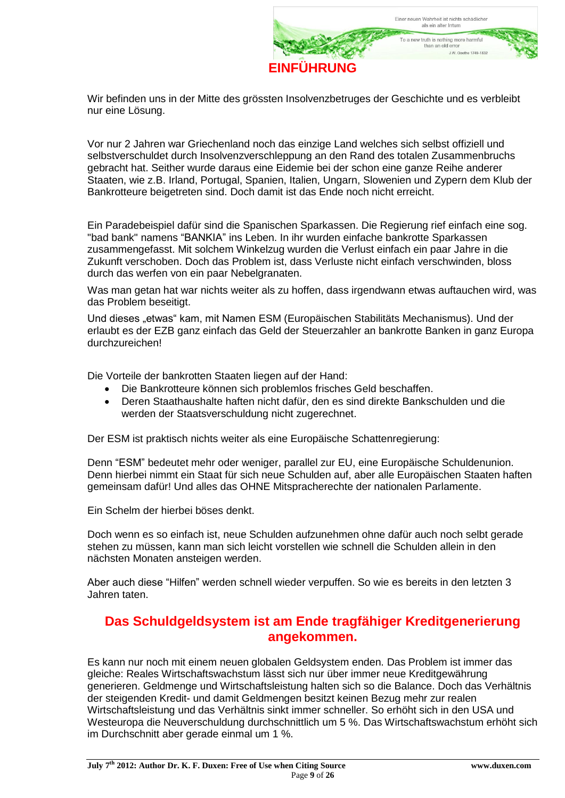

Wir befinden uns in der Mitte des grössten Insolvenzbetruges der Geschichte und es verbleibt nur eine Lösung.

Vor nur 2 Jahren war Griechenland noch das einzige Land welches sich selbst offiziell und selbstverschuldet durch Insolvenzverschleppung an den Rand des totalen Zusammenbruchs gebracht hat. Seither wurde daraus eine Eidemie bei der schon eine ganze Reihe anderer Staaten, wie z.B. Irland, Portugal, Spanien, Italien, Ungarn, Slowenien und Zypern dem Klub der Bankrotteure beigetreten sind. Doch damit ist das Ende noch nicht erreicht.

Ein Paradebeispiel dafür sind die Spanischen Sparkassen. Die Regierung rief einfach eine sog. "bad bank" namens "BANKIA" ins Leben. In ihr wurden einfache bankrotte Sparkassen zusammengefasst. Mit solchem Winkelzug wurden die Verlust einfach ein paar Jahre in die Zukunft verschoben. Doch das Problem ist, dass Verluste nicht einfach verschwinden, bloss durch das werfen von ein paar Nebelgranaten.

Was man getan hat war nichts weiter als zu hoffen, dass irgendwann etwas auftauchen wird, was das Problem beseitigt.

Und dieses "etwas" kam, mit Namen ESM (Europäischen Stabilitäts Mechanismus). Und der erlaubt es der EZB ganz einfach das Geld der Steuerzahler an bankrotte Banken in ganz Europa durchzureichen!

Die Vorteile der bankrotten Staaten liegen auf der Hand:

- Die Bankrotteure können sich problemlos frisches Geld beschaffen.
- Deren Staathaushalte haften nicht dafür, den es sind direkte Bankschulden und die werden der Staatsverschuldung nicht zugerechnet.

Der ESM ist praktisch nichts weiter als eine Europäische Schattenregierung:

Denn "ESM" bedeutet mehr oder weniger, parallel zur EU, eine Europäische Schuldenunion. Denn hierbei nimmt ein Staat für sich neue Schulden auf, aber alle Europäischen Staaten haften gemeinsam dafür! Und alles das OHNE Mitspracherechte der nationalen Parlamente.

Ein Schelm der hierbei böses denkt.

Doch wenn es so einfach ist, neue Schulden aufzunehmen ohne dafür auch noch selbt gerade stehen zu müssen, kann man sich leicht vorstellen wie schnell die Schulden allein in den nächsten Monaten ansteigen werden.

Aber auch diese "Hilfen" werden schnell wieder verpuffen. So wie es bereits in den letzten 3 Jahren taten.

#### **Das Schuldgeldsystem ist am Ende tragfähiger Kreditgenerierung angekommen.**

Es kann nur noch mit einem neuen globalen Geldsystem enden. Das Problem ist immer das gleiche: Reales Wirtschaftswachstum lässt sich nur über immer neue Kreditgewährung generieren. Geldmenge und Wirtschaftsleistung halten sich so die Balance. Doch das Verhältnis der steigenden Kredit- und damit Geldmengen besitzt keinen Bezug mehr zur realen Wirtschaftsleistung und das Verhältnis sinkt immer schneller. So erhöht sich in den USA und Westeuropa die Neuverschuldung durchschnittlich um 5 %. Das Wirtschaftswachstum erhöht sich im Durchschnitt aber gerade einmal um 1 %.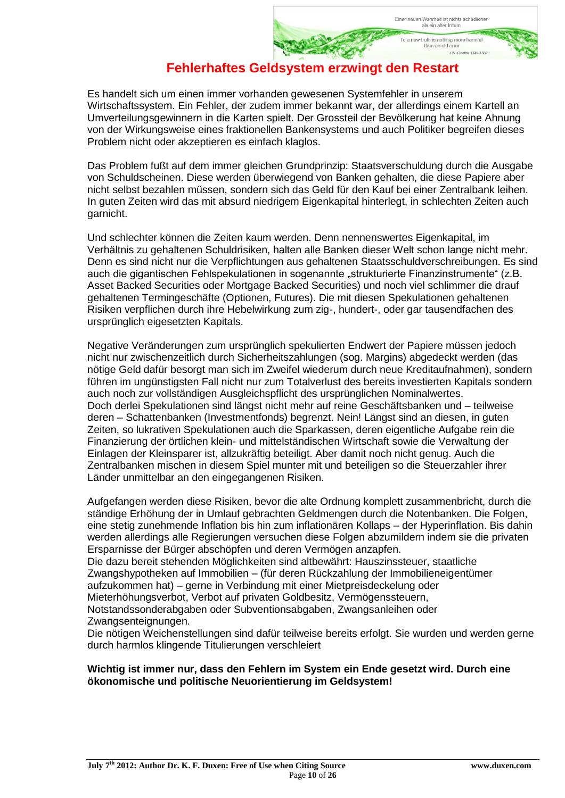To a new truth is nothing more harmful than an old error

1 W Goothe 1749-183

**Fehlerhaftes Geldsystem erzwingt den Restart**

Es handelt sich um einen immer vorhanden gewesenen Systemfehler in unserem Wirtschaftssystem. Ein Fehler, der zudem immer bekannt war, der allerdings einem Kartell an Umverteilungsgewinnern in die Karten spielt. Der Grossteil der Bevölkerung hat keine Ahnung von der Wirkungsweise eines fraktionellen Bankensystems und auch Politiker begreifen dieses Problem nicht oder akzeptieren es einfach klaglos.

Das Problem fußt auf dem immer gleichen Grundprinzip: Staatsverschuldung durch die Ausgabe von Schuldscheinen. Diese werden überwiegend von Banken gehalten, die diese Papiere aber nicht selbst bezahlen müssen, sondern sich das Geld für den Kauf bei einer Zentralbank leihen. In guten Zeiten wird das mit absurd niedrigem Eigenkapital hinterlegt, in schlechten Zeiten auch garnicht.

Und schlechter können die Zeiten kaum werden. Denn nennenswertes Eigenkapital, im Verhältnis zu gehaltenen Schuldrisiken, halten alle Banken dieser Welt schon lange nicht mehr. Denn es sind nicht nur die Verpflichtungen aus gehaltenen Staatsschuldverschreibungen. Es sind auch die gigantischen Fehlspekulationen in sogenannte "strukturierte Finanzinstrumente" (z.B. Asset Backed Securities oder Mortgage Backed Securities) und noch viel schlimmer die drauf gehaltenen Termingeschäfte (Optionen, Futures). Die mit diesen Spekulationen gehaltenen Risiken verpflichen durch ihre Hebelwirkung zum zig-, hundert-, oder gar tausendfachen des ursprünglich eigesetzten Kapitals.

Negative Veränderungen zum ursprünglich spekulierten Endwert der Papiere müssen jedoch nicht nur zwischenzeitlich durch Sicherheitszahlungen (sog. Margins) abgedeckt werden (das nötige Geld dafür besorgt man sich im Zweifel wiederum durch neue Kreditaufnahmen), sondern führen im ungünstigsten Fall nicht nur zum Totalverlust des bereits investierten Kapitals sondern auch noch zur vollständigen Ausgleichspflicht des ursprünglichen Nominalwertes. Doch derlei Spekulationen sind längst nicht mehr auf reine Geschäftsbanken und – teilweise deren – Schattenbanken (Investmentfonds) begrenzt. Nein! Längst sind an diesen, in guten Zeiten, so lukrativen Spekulationen auch die Sparkassen, deren eigentliche Aufgabe rein die Finanzierung der örtlichen klein- und mittelständischen Wirtschaft sowie die Verwaltung der Einlagen der Kleinsparer ist, allzukräftig beteiligt. Aber damit noch nicht genug. Auch die Zentralbanken mischen in diesem Spiel munter mit und beteiligen so die Steuerzahler ihrer Länder unmittelbar an den eingegangenen Risiken.

Aufgefangen werden diese Risiken, bevor die alte Ordnung komplett zusammenbricht, durch die ständige Erhöhung der in Umlauf gebrachten Geldmengen durch die Notenbanken. Die Folgen, eine stetig zunehmende Inflation bis hin zum inflationären Kollaps – der Hyperinflation. Bis dahin werden allerdings alle Regierungen versuchen diese Folgen abzumildern indem sie die privaten Ersparnisse der Bürger abschöpfen und deren Vermögen anzapfen.

Die dazu bereit stehenden Möglichkeiten sind altbewährt: Hauszinssteuer, staatliche Zwangshypotheken auf Immobilien – (für deren Rückzahlung der Immobilieneigentümer aufzukommen hat) – gerne in Verbindung mit einer Mietpreisdeckelung oder Mieterhöhungsverbot, Verbot auf privaten Goldbesitz, Vermögenssteuern,

Notstandssonderabgaben oder Subventionsabgaben, Zwangsanleihen oder Zwangsenteignungen.

Die nötigen Weichenstellungen sind dafür teilweise bereits erfolgt. Sie wurden und werden gerne durch harmlos klingende Titulierungen verschleiert

#### **Wichtig ist immer nur, dass den Fehlern im System ein Ende gesetzt wird. Durch eine ökonomische und politische Neuorientierung im Geldsystem!**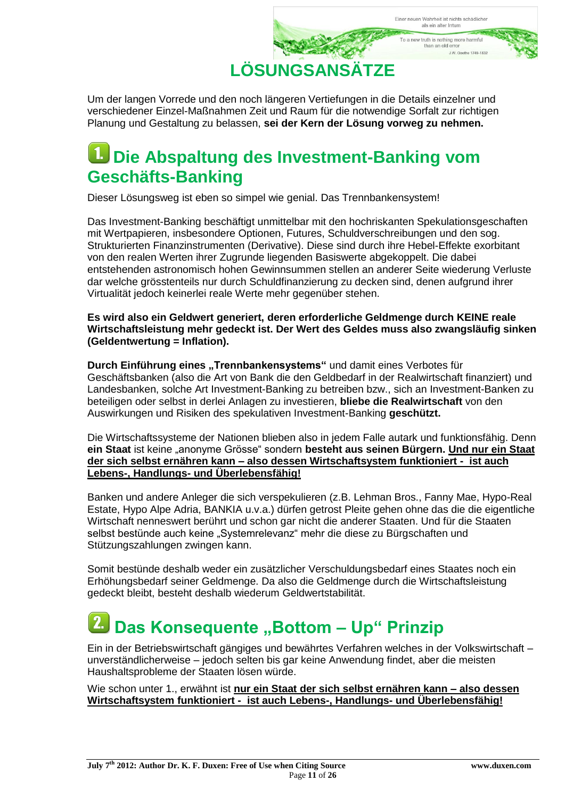

Um der langen Vorrede und den noch längeren Vertiefungen in die Details einzelner und verschiedener Einzel-Maßnahmen Zeit und Raum für die notwendige Sorfalt zur richtigen Planung und Gestaltung zu belassen, **sei der Kern der Lösung vorweg zu nehmen.**

### **Die Abspaltung des Investment-Banking vom Geschäfts-Banking**

Dieser Lösungsweg ist eben so simpel wie genial. Das Trennbankensystem!

Das Investment-Banking beschäftigt unmittelbar mit den hochriskanten Spekulationsgeschaften mit Wertpapieren, insbesondere Optionen, Futures, Schuldverschreibungen und den sog. Strukturierten Finanzinstrumenten (Derivative). Diese sind durch ihre Hebel-Effekte exorbitant von den realen Werten ihrer Zugrunde liegenden Basiswerte abgekoppelt. Die dabei entstehenden astronomisch hohen Gewinnsummen stellen an anderer Seite wiederung Verluste dar welche grösstenteils nur durch Schuldfinanzierung zu decken sind, denen aufgrund ihrer Virtualität jedoch keinerlei reale Werte mehr gegenüber stehen.

**Es wird also ein Geldwert generiert, deren erforderliche Geldmenge durch KEINE reale Wirtschaftsleistung mehr gedeckt ist. Der Wert des Geldes muss also zwangsläufig sinken (Geldentwertung = Inflation).**

**Durch Einführung eines "Trennbankensystems" und damit eines Verbotes für** Geschäftsbanken (also die Art von Bank die den Geldbedarf in der Realwirtschaft finanziert) und Landesbanken, solche Art Investment-Banking zu betreiben bzw., sich an Investment-Banken zu beteiligen oder selbst in derlei Anlagen zu investieren, **bliebe die Realwirtschaft** von den Auswirkungen und Risiken des spekulativen Investment-Banking **geschützt.**

Die Wirtschaftssysteme der Nationen blieben also in jedem Falle autark und funktionsfähig. Denn **ein Staat** ist keine "anonyme Grösse" sondern **besteht aus seinen Bürgern. Und nur ein Staat der sich selbst ernähren kann – also dessen Wirtschaftsystem funktioniert - ist auch Lebens-, Handlungs- und Überlebensfähig!**

Banken und andere Anleger die sich verspekulieren (z.B. Lehman Bros., Fanny Mae, Hypo-Real Estate, Hypo Alpe Adria, BANKIA u.v.a.) dürfen getrost Pleite gehen ohne das die die eigentliche Wirtschaft nenneswert berührt und schon gar nicht die anderer Staaten. Und für die Staaten selbst bestünde auch keine "Systemrelevanz" mehr die diese zu Bürgschaften und Stützungszahlungen zwingen kann.

Somit bestünde deshalb weder ein zusätzlicher Verschuldungsbedarf eines Staates noch ein Erhöhungsbedarf seiner Geldmenge. Da also die Geldmenge durch die Wirtschaftsleistung gedeckt bleibt, besteht deshalb wiederum Geldwertstabilität.

## **2.** Das Konsequente "Bottom – Up" Prinzip

Ein in der Betriebswirtschaft gängiges und bewährtes Verfahren welches in der Volkswirtschaft – unverständlicherweise – jedoch selten bis gar keine Anwendung findet, aber die meisten Haushaltsprobleme der Staaten lösen würde.

Wie schon unter 1., erwähnt ist **nur ein Staat der sich selbst ernähren kann – also dessen Wirtschaftsystem funktioniert - ist auch Lebens-, Handlungs- und Überlebensfähig!**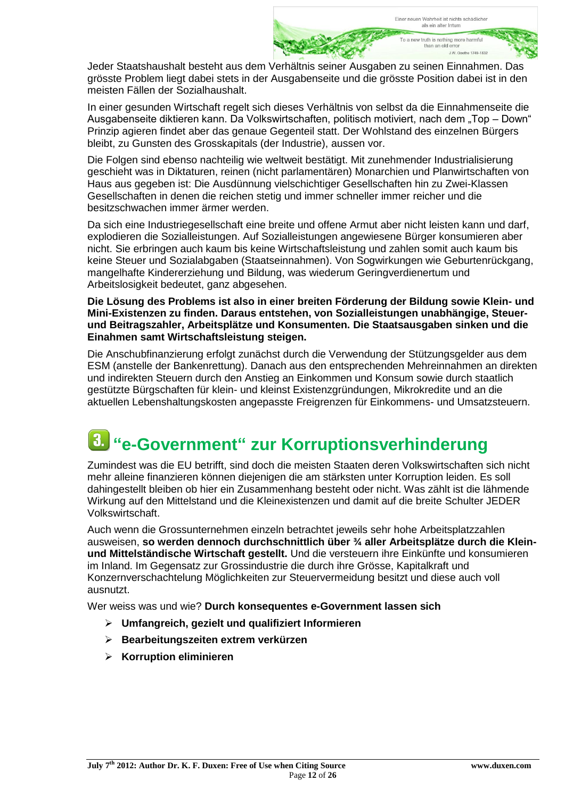Jeder Staatshaushalt besteht aus dem Verhältnis seiner Ausgaben zu seinen Einnahmen. Das grösste Problem liegt dabei stets in der Ausgabenseite und die grösste Position dabei ist in den meisten Fällen der Sozialhaushalt.

In einer gesunden Wirtschaft regelt sich dieses Verhältnis von selbst da die Einnahmenseite die Ausgabenseite diktieren kann. Da Volkswirtschaften, politisch motiviert, nach dem "Top – Down" Prinzip agieren findet aber das genaue Gegenteil statt. Der Wohlstand des einzelnen Bürgers bleibt, zu Gunsten des Grosskapitals (der Industrie), aussen vor.

Die Folgen sind ebenso nachteilig wie weltweit bestätigt. Mit zunehmender Industrialisierung geschieht was in Diktaturen, reinen (nicht parlamentären) Monarchien und Planwirtschaften von Haus aus gegeben ist: Die Ausdünnung vielschichtiger Gesellschaften hin zu Zwei-Klassen Gesellschaften in denen die reichen stetig und immer schneller immer reicher und die besitzschwachen immer ärmer werden.

Da sich eine Industriegesellschaft eine breite und offene Armut aber nicht leisten kann und darf, explodieren die Sozialleistungen. Auf Sozialleistungen angewiesene Bürger konsumieren aber nicht. Sie erbringen auch kaum bis keine Wirtschaftsleistung und zahlen somit auch kaum bis keine Steuer und Sozialabgaben (Staatseinnahmen). Von Sogwirkungen wie Geburtenrückgang, mangelhafte Kindererziehung und Bildung, was wiederum Geringverdienertum und Arbeitslosigkeit bedeutet, ganz abgesehen.

**Die Lösung des Problems ist also in einer breiten Förderung der Bildung sowie Klein- und Mini-Existenzen zu finden. Daraus entstehen, von Sozialleistungen unabhängige, Steuerund Beitragszahler, Arbeitsplätze und Konsumenten. Die Staatsausgaben sinken und die Einahmen samt Wirtschaftsleistung steigen.**

Die Anschubfinanzierung erfolgt zunächst durch die Verwendung der Stützungsgelder aus dem ESM (anstelle der Bankenrettung). Danach aus den entsprechenden Mehreinnahmen an direkten und indirekten Steuern durch den Anstieg an Einkommen und Konsum sowie durch staatlich gestützte Bürgschaften für klein- und kleinst Existenzgründungen, Mikrokredite und an die aktuellen Lebenshaltungskosten angepasste Freigrenzen für Einkommens- und Umsatzsteuern.

## **"e-Government" zur Korruptionsverhinderung**

Zumindest was die EU betrifft, sind doch die meisten Staaten deren Volkswirtschaften sich nicht mehr alleine finanzieren können diejenigen die am stärksten unter Korruption leiden. Es soll dahingestellt bleiben ob hier ein Zusammenhang besteht oder nicht. Was zählt ist die lähmende Wirkung auf den Mittelstand und die Kleinexistenzen und damit auf die breite Schulter JEDER Volkswirtschaft.

Auch wenn die Grossunternehmen einzeln betrachtet jeweils sehr hohe Arbeitsplatzzahlen ausweisen, **so werden dennoch durchschnittlich über ¾ aller Arbeitsplätze durch die Kleinund Mittelständische Wirtschaft gestellt.** Und die versteuern ihre Einkünfte und konsumieren im Inland. Im Gegensatz zur Grossindustrie die durch ihre Grösse, Kapitalkraft und Konzernverschachtelung Möglichkeiten zur Steuervermeidung besitzt und diese auch voll ausnutzt.

Wer weiss was und wie? **Durch konsequentes e-Government lassen sich** 

- **Umfangreich, gezielt und qualifiziert Informieren**
- **Bearbeitungszeiten extrem verkürzen**
- **Korruption eliminieren**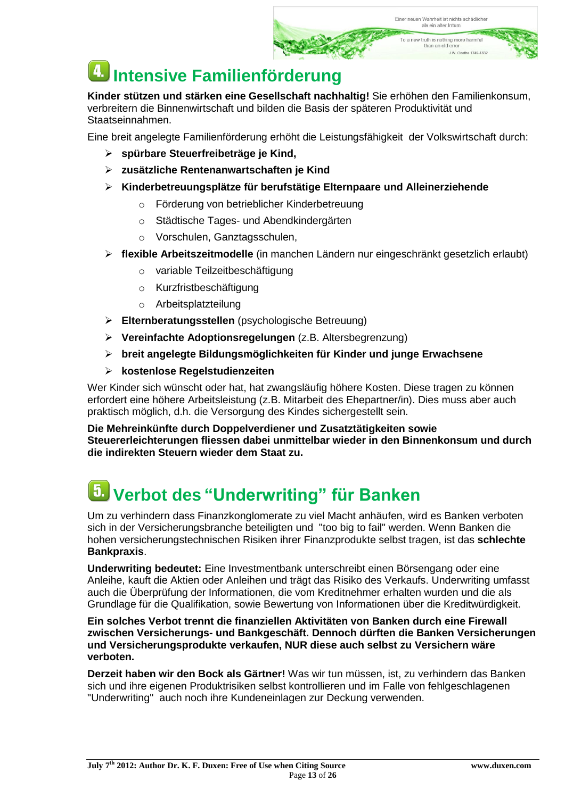## **Intensive Familienförderung**

**Kinder stützen und stärken eine Gesellschaft nachhaltig!** Sie erhöhen den Familienkonsum, verbreitern die Binnenwirtschaft und bilden die Basis der späteren Produktivität und Staatseinnahmen.

Eine breit angelegte Familienförderung erhöht die Leistungsfähigkeit der Volkswirtschaft durch:

- **spürbare Steuerfreibeträge je Kind,**
- **zusätzliche Rentenanwartschaften je Kind**
- **Kinderbetreuungsplätze für berufstätige Elternpaare und Alleinerziehende**
	- o Förderung von betrieblicher Kinderbetreuung
	- o Städtische Tages- und Abendkindergärten
	- o Vorschulen, Ganztagsschulen,
- **flexible Arbeitszeitmodelle** (in manchen Ländern nur eingeschränkt gesetzlich erlaubt)
	- o variable Teilzeitbeschäftigung
	- o Kurzfristbeschäftigung
	- o Arbeitsplatzteilung
- **Elternberatungsstellen** (psychologische Betreuung)
- **Vereinfachte Adoptionsregelungen** (z.B. Altersbegrenzung)
- **breit angelegte Bildungsmöglichkeiten für Kinder und junge Erwachsene**
- **kostenlose Regelstudienzeiten**

Wer Kinder sich wünscht oder hat, hat zwangsläufig höhere Kosten. Diese tragen zu können erfordert eine höhere Arbeitsleistung (z.B. Mitarbeit des Ehepartner/in). Dies muss aber auch praktisch möglich, d.h. die Versorgung des Kindes sichergestellt sein.

**Die Mehreinkünfte durch Doppelverdiener und Zusatztätigkeiten sowie Steuererleichterungen fliessen dabei unmittelbar wieder in den Binnenkonsum und durch die indirekten Steuern wieder dem Staat zu.**

## **Verbot des "Underwriting" für Banken**

Um zu verhindern dass Finanzkonglomerate zu viel Macht anhäufen, wird es Banken verboten sich in der Versicherungsbranche beteiligten und "too big to fail" werden. Wenn Banken die hohen versicherungstechnischen Risiken ihrer Finanzprodukte selbst tragen, ist das **schlechte Bankpraxis**.

**Underwriting bedeutet:** Eine Investmentbank unterschreibt einen Börsengang oder eine Anleihe, kauft die Aktien oder Anleihen und trägt das Risiko des Verkaufs. Underwriting umfasst auch die Überprüfung der Informationen, die vom Kreditnehmer erhalten wurden und die als Grundlage für die Qualifikation, sowie Bewertung von Informationen über die Kreditwürdigkeit.

**Ein solches Verbot trennt die finanziellen Aktivitäten von Banken durch eine Firewall zwischen Versicherungs- und Bankgeschäft. Dennoch dürften die Banken Versicherungen und Versicherungsprodukte verkaufen, NUR diese auch selbst zu Versichern wäre verboten.**

**Derzeit haben wir den Bock als Gärtner!** Was wir tun müssen, ist, zu verhindern das Banken sich und ihre eigenen Produktrisiken selbst kontrollieren und im Falle von fehlgeschlagenen "Underwriting" auch noch ihre Kundeneinlagen zur Deckung verwenden.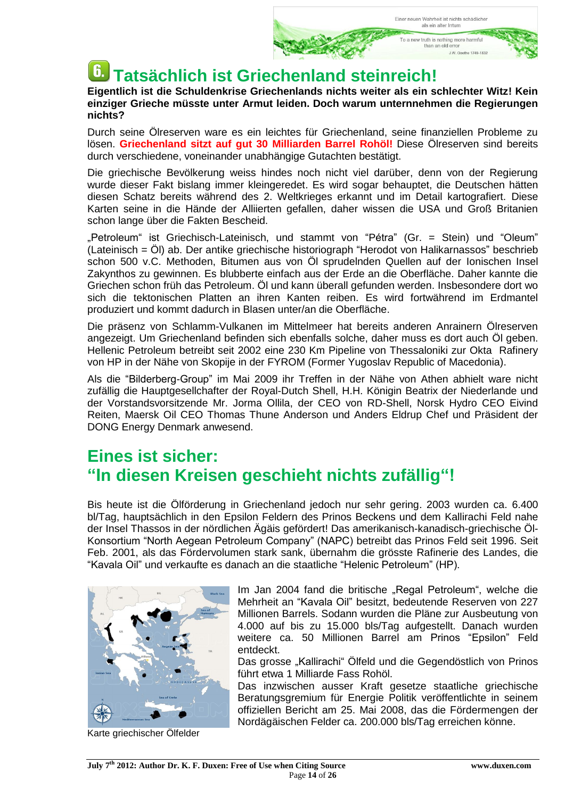## **Tatsächlich ist Griechenland steinreich!**

**Eigentlich ist die Schuldenkrise Griechenlands nichts weiter als ein schlechter Witz! Kein einziger Grieche müsste unter Armut leiden. Doch warum unternnehmen die Regierungen nichts?**

Durch seine Ölreserven ware es ein leichtes für Griechenland, seine finanziellen Probleme zu lösen. **Griechenland sitzt auf gut 30 Milliarden Barrel Rohöl!** Diese Ölreserven sind bereits durch verschiedene, voneinander unabhängige Gutachten bestätigt.

Die griechische Bevölkerung weiss hindes noch nicht viel darüber, denn von der Regierung wurde dieser Fakt bislang immer kleingeredet. Es wird sogar behauptet, die Deutschen hätten diesen Schatz bereits während des 2. Weltkrieges erkannt und im Detail kartografiert. Diese Karten seine in die Hände der Alliierten gefallen, daher wissen die USA und Groß Britanien schon lange über die Fakten Bescheid.

"Petroleum" ist Griechisch-Lateinisch, und stammt von "Pétra" (Gr. = Stein) und "Oleum" (Lateinisch = Öl) ab. Der antike griechische historiograph "Herodot von Halikarnassos" beschrieb schon 500 v.C. Methoden, Bitumen aus von Öl sprudelnden Quellen auf der Ionischen Insel Zakynthos zu gewinnen. Es blubberte einfach aus der Erde an die Oberfläche. Daher kannte die Griechen schon früh das Petroleum. Öl und kann überall gefunden werden. Insbesondere dort wo sich die tektonischen Platten an ihren Kanten reiben. Es wird fortwährend im Erdmantel produziert und kommt dadurch in Blasen unter/an die Oberfläche.

Die präsenz von Schlamm-Vulkanen im Mittelmeer hat bereits anderen Anrainern Ölreserven angezeigt. Um Griechenland befinden sich ebenfalls solche, daher muss es dort auch Öl geben. Hellenic Petroleum betreibt seit 2002 eine 230 Km Pipeline von Thessaloniki zur Okta Rafinery von HP in der Nähe von Skopije in der FYROM (Former Yugoslav Republic of Macedonia).

Als die "Bilderberg-Group" im Mai 2009 ihr Treffen in der Nähe von Athen abhielt ware nicht zufällig die Hauptgesellchafter der Royal-Dutch Shell, H.H. Königin Beatrix der Niederlande und der Vorstandsvorsitzende Mr. Jorma Ollila, der CEO von RD-Shell, Norsk Hydro CEO Eivind Reiten, Maersk Oil CEO Thomas Thune Anderson und Anders Eldrup Chef und Präsident der DONG Energy Denmark anwesend.

### **Eines ist sicher: "In diesen Kreisen geschieht nichts zufällig"!**

Bis heute ist die Ölförderung in Griechenland jedoch nur sehr gering. 2003 wurden ca. 6.400 bl/Tag, hauptsächlich in den Epsilon Feldern des Prinos Beckens und dem Kallirachi Feld nahe der Insel Thassos in der nördlichen Ägäis gefördert! Das amerikanisch-kanadisch-griechische Öl-Konsortium "North Aegean Petroleum Company" (NAPC) betreibt das Prinos Feld seit 1996. Seit Feb. 2001, als das Fördervolumen stark sank, übernahm die grösste Rafinerie des Landes, die "Kavala Oil" und verkaufte es danach an die staatliche "Helenic Petroleum" (HP).



Karte griechischer Ölfelder

Im Jan 2004 fand die britische "Regal Petroleum", welche die Mehrheit an "Kavala Oil" besitzt, bedeutende Reserven von 227 Millionen Barrels. Sodann wurden die Pläne zur Ausbeutung von 4.000 auf bis zu 15.000 bls/Tag aufgestellt. Danach wurden weitere ca. 50 Millionen Barrel am Prinos "Epsilon" Feld entdeckt.

Das grosse "Kallirachi" Ölfeld und die Gegendöstlich von Prinos führt etwa 1 Milliarde Fass Rohöl.

Das inzwischen ausser Kraft gesetze staatliche griechische Beratungsgremium für Energie Politik veröffentlichte in seinem offiziellen Bericht am 25. Mai 2008, das die Fördermengen der Nordägäischen Felder ca. 200.000 bls/Tag erreichen könne.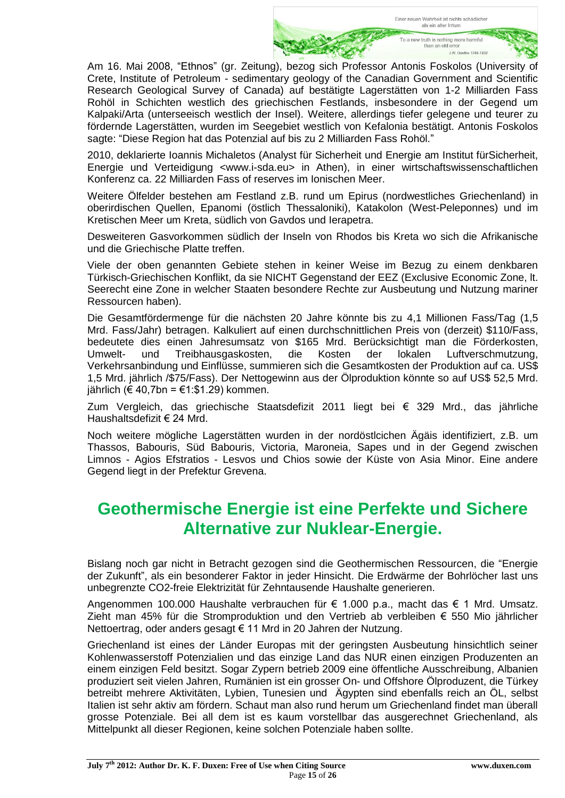Am 16. Mai 2008, "Ethnos" (gr. Zeitung), bezog sich Professor [Antonis Foskolos](http://www.ethnos.gr/article.asp?catid=11424&subid=2&tag=8470&pubid=986428) (University of Crete, Institute of Petroleum - sedimentary geology of the Canadian Government and Scientific Research Geological Survey of Canada) auf bestätigte Lagerstätten von 1-2 Milliarden Fass Rohöl in Schichten westlich des griechischen Festlands, insbesondere in der Gegend um Kalpaki/Arta (unterseeisch westlich der Insel). Weitere, allerdings tiefer gelegene und teurer zu fördernde Lagerstätten, wurden im Seegebiet westlich von Kefalonia bestätigt. [Antonis Foskolos](http://www.ethnos.gr/article.asp?catid=11424&subid=2&tag=8470&pubid=986428) sagte: "Diese Region hat das Potenzial auf bis zu 2 Milliarden Fass Rohöl."

2010, deklarierte Ioannis Michaletos (Analyst für Sicherheit und Energie am Institut fürSicherheit, Energie und Verteidigung <www.i-sda.eu> in Athen), in einer wirtschaftswissenschaftlichen Konferenz ca. 22 Milliarden Fass of reserves im Ionischen Meer.

Weitere Ölfelder bestehen am Festland z.B. rund um Epirus (nordwestliches Griechenland) in oberirdischen Quellen, Epanomi (östlich Thessaloniki), Katakolon (West-Peleponnes) und im Kretischen Meer um Kreta, südlich von Gavdos und Ierapetra.

Desweiteren Gasvorkommen südlich der Inseln von Rhodos bis Kreta wo sich die Afrikanische und die Griechische Platte treffen.

Viele der oben genannten Gebiete stehen in keiner Weise im Bezug zu einem denkbaren Türkisch-Griechischen Konflikt, da sie NICHT Gegenstand der EEZ (Exclusive Economic Zone, lt. Seerecht eine Zone in welcher Staaten besondere Rechte zur Ausbeutung und Nutzung mariner Ressourcen haben).

Die Gesamtfördermenge für die nächsten 20 Jahre könnte bis zu 4,1 Millionen Fass/Tag (1,5 Mrd. Fass/Jahr) betragen. Kalkuliert auf einen durchschnittlichen Preis von (derzeit) \$110/Fass, bedeutete dies einen Jahresumsatz von \$165 Mrd. Berücksichtigt man die Förderkosten, Umwelt- und Treibhausgaskosten, die Kosten der lokalen Luftverschmutzung, Verkehrsanbindung und Einflüsse, summieren sich die Gesamtkosten der Produktion auf ca. US\$ 1,5 Mrd. jährlich /\$75/Fass). Der Nettogewinn aus der Ölproduktion könnte so auf US\$ 52,5 Mrd. jährlich (€ 40,7bn = €1:\$1.29) kommen.

Zum Vergleich, das griechische Staatsdefizit 2011 liegt bei € 329 Mrd., das jährliche Haushaltsdefizit € 24 Mrd.

Noch weitere mögliche Lagerstätten wurden in der nordöstlcichen Ägäis identifiziert, z.B. um Thassos, Babouris, Süd Babouris, Victoria, Maroneia, Sapes und in der Gegend zwischen Limnos - Agios Efstratios - Lesvos und Chios sowie der Küste von Asia Minor. Eine andere Gegend liegt in der Prefektur Grevena.

### **Geothermische Energie ist eine Perfekte und Sichere Alternative zur Nuklear-Energie.**

Bislang noch gar nicht in Betracht gezogen sind die Geothermischen Ressourcen, die "Energie der Zukunft", als ein besonderer Faktor in jeder Hinsicht. Die Erdwärme der Bohrlöcher last uns unbegrenzte CO2-freie Elektrizität für Zehntausende Haushalte generieren.

Angenommen 100.000 Haushalte verbrauchen für € 1.000 p.a., macht das € 1 Mrd. Umsatz. Zieht man 45% für die Stromproduktion und den Vertrieb ab verbleiben € 550 Mio jährlicher Nettoertrag, oder anders gesagt € 11 Mrd in 20 Jahren der Nutzung.

Griechenland ist eines der Länder Europas mit der geringsten Ausbeutung hinsichtlich seiner Kohlenwasserstoff Potenzialien und das einzige Land das NUR einen einzigen Produzenten an einem einzigen Feld besitzt. Sogar Zypern betrieb 2009 eine öffentliche Ausschreibung, Albanien produziert seit vielen Jahren, Rumänien ist ein grosser On- und Offshore Ölproduzent, die Türkey betreibt mehrere Aktivitäten, Lybien, Tunesien und Ägypten sind ebenfalls reich an ÖL, selbst Italien ist sehr aktiv am fördern. Schaut man also rund herum um Griechenland findet man überall grosse Potenziale. Bei all dem ist es kaum vorstellbar das ausgerechnet Griechenland, als Mittelpunkt all dieser Regionen, keine solchen Potenziale haben sollte.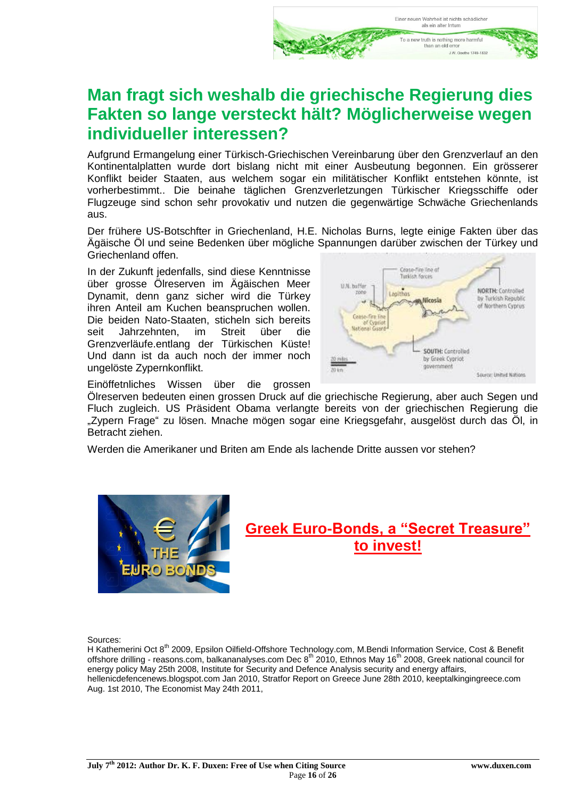### **Man fragt sich weshalb die griechische Regierung dies Fakten so lange versteckt hält? Möglicherweise wegen individueller interessen?**

Aufgrund Ermangelung einer Türkisch-Griechischen Vereinbarung über den Grenzverlauf an den Kontinentalplatten wurde dort bislang nicht mit einer Ausbeutung begonnen. Ein grösserer Konflikt beider Staaten, aus welchem sogar ein militätischer Konflikt entstehen könnte, ist vorherbestimmt.. Die beinahe täglichen Grenzverletzungen Türkischer Kriegsschiffe oder Flugzeuge sind schon sehr provokativ und nutzen die gegenwärtige Schwäche Griechenlands aus.

Der frühere US-Botschfter in Griechenland, H.E. Nicholas Burns, legte einige Fakten über das Ägäische Öl und seine Bedenken über mögliche Spannungen darüber zwischen der Türkey und Griechenland offen.

In der Zukunft jedenfalls, sind diese Kenntnisse über grosse Ölreserven im Ägäischen Meer Dynamit, denn ganz sicher wird die Türkey ihren Anteil am Kuchen beanspruchen wollen. Die beiden Nato-Staaten, sticheln sich bereits seit Jahrzehnten, im Streit über die Grenzverläufe.entlang der Türkischen Küste! Und dann ist da auch noch der immer noch ungelöste Zypernkonflikt.



Einöffetnliches Wissen über die grossen

Ölreserven bedeuten einen grossen Druck auf die griechische Regierung, aber auch Segen und Fluch zugleich. US Präsident Obama verlangte bereits von der griechischen Regierung die "Zypern Frage" zu lösen. Mnache mögen sogar eine Kriegsgefahr, ausgelöst durch das Öl, in Betracht ziehen.

Werden die Amerikaner und Briten am Ende als lachende Dritte aussen vor stehen?



### **Greek Euro-Bonds, a "Secret Treasure" to invest!**

Sources:

H Kathemerini Oct 8<sup>th</sup> 2009, Epsilon Oilfield-Offshore Technology.com, M.Bendi Information Service, Cost & Benefit offshore drilling - reasons.com, balkananalyses.com Dec 8th 2010, Ethnos May 16th 2008, Greek national council for energy policy May 25th 2008, Institute for Security and Defence Analysis security and energy affairs, hellenicdefencenews.blogspot.com Jan 2010, Stratfor Report on Greece June 28th 2010, keeptalkingingreece.com Aug. 1st 2010, The Economist May 24th 2011,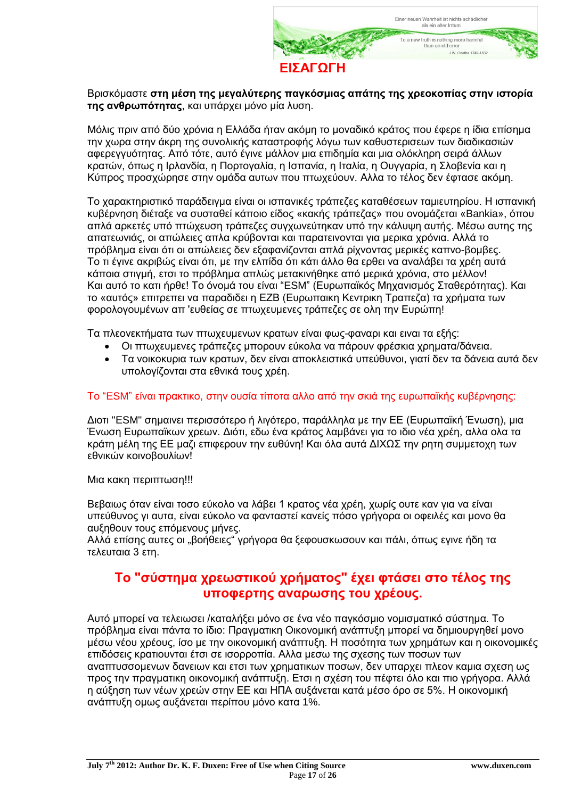

#### Βρισκόμαστε **στη μέση της μεγαλύτερης παγκόσμιας απάτης της χρεοκοπίας στην ιστορία της ανθρωπότητας**, και υπάρχει μόνο μία λυση.

Μόλις πριν από δύο χρόνια η Ελλάδα ήταν ακόμη το μοναδικό κράτος που έφερε η ίδια επίσημα την χωρα στην άκρη της συνολικής καταστροφής λόγω των καθυστερισεων των διαδικασιών αφερεγγυότητας. Από τότε, αυτό έγινε μάλλον μια επιδημία και μια ολόκληρη σειρά άλλων κρατών, όπως η Ιρλανδία, η Πορτογαλία, η Ισπανία, η Ιταλία, η Ουγγαρία, η Σλοβενία και η Κύπρος προσχώρησε στην ομάδα αυτων που πτωχεύουν. Αλλα το τέλος δεν έφτασε ακόμη.

Το χαρακτηριστικό παράδειγμα είναι οι ισπανικές τράπεζες καταθέσεων ταμιευτηρίου. Η ισπανική κυβέρνηση διέταξε να συσταθεί κάποιο είδος «κακής τράπεζας» που ονομάζεται «Bankia», όπου απλά αρκετές υπό πτώχευση τράπεζες συγχωνεύτηκαν υπό την κάλυψη αυτής. Μέσω αυτης της απατεωνιάς, οι απώλειες απλα κρύβονται και παρατεινονται για μερικα χρόνια. Αλλά το πρόβλημα είναι ότι οι απώλειες δεν εξαφανίζονται απλά ρίχνοντας μερικές καπνο-βομβες. Το τι έγινε ακριβώς είναι ότι, με την ελπίδα ότι κάτι άλλο θα ερθει να αναλάβει τα χρέη αυτά κάποια στιγμή, ετσι το πρόβλημα απλώς μετακινήθηκε από μερικά χρόνια, στο μέλλον! Και αυτό το κατι ήρθε! Το όνομά του είναι "ESM" (Ευρωπαϊκός Μηχανισμός Σταθερότητας). Και το «αυτός» επιτρεπει να παραδιδει η ΕΖΒ (Ευρωπαικη Κεντρικη Τραπεζα) τα χρήματα των φορολογουμένων απ 'ευθείας σε πτωχευμενες τράπεζες σε ολη την Ευρώπη!

Τα πλεονεκτήματα των πτωχευμενων κρατων είναι φως-φαναρι και ειναι τα εξής:

- Οι πτωχευμενες τράπεζες μπορουν εύκολα να πάρουν φρέσκια χρηματα/δάνεια.
- Τα νοικοκυρια των κρατων, δεν είναι αποκλειστικά υπεύθυνοι, γιατί δεν τα δάνεια αυτά δεν υπολογίζονται στα εθνικά τους χρέη.

#### Το "ESM" είναι πρακτικο, στην ουσία τίποτα αλλο από την σκιά της ευρωπαϊκής κυβέρνησης:

Διοτι "ESM" σημαινει περισσότερο ή λιγότερο, παράλληλα με την ΕΕ (Ευρωπαϊκή Ένωση), μια Ένωση Ευρωπαϊκων χρεων. Διότι, εδω ένα κράτος λαμβάνει για το ιδιο νέα χρέη, αλλα ολα τα κράτη μέλη της ΕΕ μαζι επιφερουν την ευθύνη! Και όλα αυτά ΔΙΧΩΣ την ρητη συμμετοχη των εθνικών κοινοβουλίων!

Μια κακη περιπτωση!!!

Βεβαιως όταν είναι τοσο εύκολο να λάβει 1 κρατος νέα χρέη, χωρίς ουτε καν για να είναι υπεύθυνος γι αυτα, είναι εύκολο να φανταστεί κανείς πόσο γρήγορα οι οφειλές και μονο θα αυξηθουν τους επόμενους μήνες.

Αλλά επίσης αυτες οι "βοήθειες" γρήγορα θα ξεφουσκωσουν και πάλι, όπως εγινε ήδη τα τελευταια 3 ετη.

### **Το "σύστημα χρεωστικού χρήματος" έχει φτάσει στο τέλος της υποφερτης αναρωσης του χρέους.**

Αυτό μπορεί να τελειωσει /καταλήξει μόνο σε ένα νέο παγκόσμιο νομισματικό σύστημα. Το πρόβλημα είναι πάντα τo ίδιo: Πραγματικη Οικονομική ανάπτυξη μπορεί να δημιουργηθεί μονο μέσω νέου χρέους, ίσο με την οικονομική ανάπτυξη. Η ποσότητα των χρημάτων και η οικονομικές επιδόσεις κρατιουνται έτσι σε ισορροπία. Αλλα μεσω της σχεσης των ποσων των αναπτυσσομενων δανειων και ετσι των χρηματικων ποσων, δεν υπαρχει πλεον καμια σχεση ως προς την πραγματικη οικονομική ανάπτυξη. Ετσι η σχέση του πέφτει όλο και πιο γρήγορα. Αλλά η αύξηση των νέων χρεών στην ΕΕ και ΗΠΑ αυξάνεται κατά μέσο όρο σε 5%. Η οικονομική ανάπτυξη ομως αυξάνεται περίπου μόνο κατα 1%.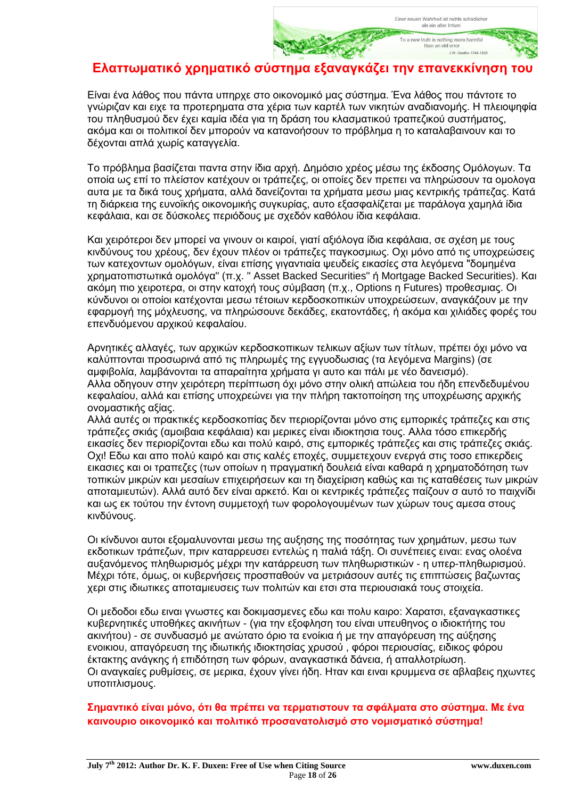### **Ελαττωματικό χρηματικό σύστημα εξαναγκάζει την επανεκκίνηση του**

Είναι ένα λάθος που πάντα υπηρχε στο οικονομικό μας σύστημα. Ένα λάθος που πάντοτε το γνώριζαν και ειχε τα προτερηματα στα χέρια των καρτέλ των νικητών αναδιανομής. Η πλειοψηφία του πληθυσμού δεν έχει καμία ιδέα για τη δράση του κλασματικού τραπεζικού συστήματος, ακόμα και οι πολιτικοί δεν μπορούν να κατανοήσουν το πρόβλημα η το καταλαβαινουν και το δέχονται απλά χωρίς καταγγελία.

Το πρόβλημα βασίζεται παντα στην ίδια αρχή. Δημόσιο χρέος μέσω της έκδοσης Ομόλογων. Τα οποία ως επί το πλείστον κατέχουν οι τράπεζες, οι οποίες δεν πρεπει να πληρώσουν τα ομολογα αυτα με τα δικά τους χρήματα, αλλά δανείζονται τα χρήματα μεσω μιας κεντρικής τράπεζας. Κατά τη διάρκεια της ευνοϊκής οικονομικής συγκυρίας, αυτο εξασφαλίζεται με παράλογα χαμηλά ίδια κεφάλαια, και σε δύσκολες περιόδους με σχεδόν καθόλου ίδια κεφάλαια.

Και χειρότεροι δεν μπορεί να γινουν οι καιροί, γιατί αξιόλογα ίδια κεφάλαια, σε σχέση με τους κινδύνους του χρέους, δεν έχουν πλέον οι τράπεζες παγκοσμιως. Οχι μόνο από τις υποχρεώσεις των κατεχοντων ομολόγων, είναι επίσης γιγαντιαία ψευδείς εικασίες στα λεγόμενα "δομημένα χρηματοπιστωτικά ομολόγα" (π.χ. " Asset Backed Securities" ή Mortgage Backed Securities). Και ακόμη πιο χειροτερα, οι στην κατοχή τους σύμβαση (π.χ., Options η Futures) προθεσμιας. Οι κύνδυνοι οι οποίοι κατέχονται μεσω τέτοιων κερδοσκοπικών υποχρεώσεων, αναγκάζουν με την εφαρμογή της μόχλευσης, να πληρώσουνε δεκάδες, εκατοντάδες, ή ακόμα και χιλιάδες φορές του επενδυόμενου αρχικού κεφαλαίου.

Αρνητικές αλλαγές, των αρχικών κερδοσκοπικων τελικων αξίων των τίτλων, πρέπει όχι μόνο να καλύπτονται προσωρινά από τις πληρωμές της εγγυοδωσιας (τα λεγόμενα Margins) (σε αμφιβολία, λαμβάνονται τα απαραίτητα χρήματα γι αυτο και πάλι με νέο δανεισμό). Αλλα οδηγουν στην χειρότερη περίπτωση όχι μόνο στην ολική απώλεια του ήδη επενδεδυμένου κεφαλαίου, αλλά και επίσης υποχρεώνει για την πλήρη τακτοποίηση της υποχρέωσης αρχικής ονομαστικής αξίας.

Αλλά αυτές οι πρακτικές κερδοσκοπίας δεν περιορίζονται μόνο στις εμπορικές τράπεζες και στις τράπεζες σκιάς (αμοιβαια κεφάλαια) και μερικες είναι ιδιοκτησια τους. Αλλα τόσο επικερδής εικασίες δεν περιορίζονται εδω και πολύ καιρό, στις εμπορικές τράπεζες και στις τράπεζες σκιάς. Οχι! Εδω και απο πολύ καιρό και στις καλές εποχές, συμμετεχουν ενεργά στις τοσο επικερδεις εικασιες και οι τραπεζες (των οποίων η πραγματική δουλειά είναι καθαρά η χρηματοδότηση των τοπικών μικρών και μεσαίων επιχειρήσεων και τη διαχείριση καθώς και τις καταθέσεις των μικρών αποταμιευτών). Αλλά αυτό δεν είναι αρκετό. Και oι κεντρικές τράπεζες παίζουν σ αυτό το παιχνίδι και ως εκ τούτου την έντονη συμμετοχή των φορολογουμένων των χώρων τους αμεσα στους κινδύνους.

Οι κίνδυνοι αυτοι εξομαλυνονται μεσω της αυξησης της ποσότητας των χρημάτων, μεσω των εκδοτικων τράπεζων, πριν καταρρευσει εντελώς η παλιά τάξη. Οι συνέπειες ειναι: ενας ολοένα αυξανόμενος πληθωρισμός μέχρι την κατάρρευση των πληθωριστικών - η υπερ-πληθωρισμού. Μέχρι τότε, όμως, οι κυβερνήσεις προσπαθούν να μετριάσουν αυτές τις επιπτώσεις βαζωντας χερι στις ιδιωτικες αποταμιευσεις των πολιτών και ετσι στα περιουσιακά τους στοιχεία.

Οι μεδοδοι εδω ειναι γνωστες και δοκιμασμενες εδω και πολυ καιρο: Χαρατσι, εξαναγκαστικες κυβερνητικές υποθήκες ακινήτων - (για την εξοφληση του είναι υπευθηνος ο ιδιοκτήτης του ακινήτου) - σε συνδυασμό με ανώτατο όριο τα ενοίκια ή με την απαγόρευση της αύξησης ενοικιου, απαγόρευση της ιδιωτικής ιδιοκτησίας χρυσού , φόροι περιουσίας, ειδικος φόρου έκτακτης ανάγκης ή επιδότηση των φόρων, αναγκαστικά δάνεια, ή απαλλοτρίωση. Οι αναγκαίες ρυθμίσεις, σε μερικα, έχουν γίνει ήδη. Ηταν και ειναι κρυμμενα σε αβλαβεις ηχωντες υποτιτλισμους.

#### **Σημαντικό είναι μόνο, ότι θα πρέπει να τερματιστουν τα σφάλματα στο σύστημα. Με ένα καινουριο οικονομικό και πολιτικό προσανατολισμό στο νομισματικό σύστημα!**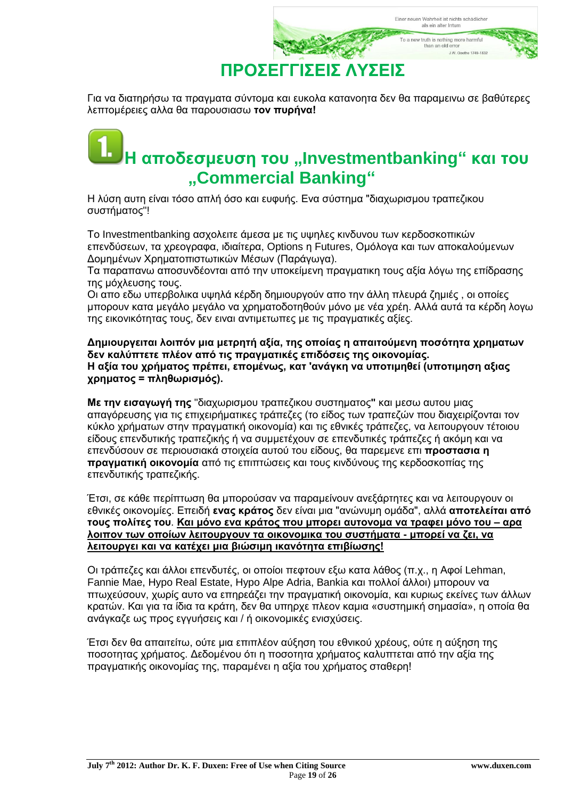

Για να διατηρήσω τα πραγματα σύντομα και ευκολα κατανοητα δεν θα παραμεινω σε βαθύτερες λεπτομέρειες αλλα θα παρουσιασω **τον πυρήνα!**

## **Η αποδεσμευση του ,,Investmentbanking" και του "Commercial Banking"**

Η λύση αυτη είναι τόσο απλή όσο και ευφυής. Ενα σύστημα "διαχωρισμου τραπεζικου συστήματος"!

Το Investmentbanking ασχολειτε άμεσα με τις υψηλες κινδυνου των κερδοσκοπικών επενδύσεων, τα χρεογραφα, ιδιαίτερα, Options η Futures, Ομόλογα και των αποκαλούμενων Δομημένων Χρηματοπιστωτικών Μέσων (Παράγωγα).

Τα παραπανω αποσυνδέονται από την υποκείμενη πραγματικη τους αξία λόγω της επίδρασης της μόχλευσης τους.

Οι απο εδω υπερβολικα υψηλά κέρδη δημιουργούν απο την άλλη πλευρά ζημιές , οι οποίες μπορουν κατα μεγάλο μεγάλο να χρηματοδοτηθούν μόνο με νέα χρέη. Αλλά αυτά τα κέρδη λογω της εικονικότητας τους, δεν ειναι αντιμετωπες με τις πραγματικές αξίες.

**Δημιουργειται λοιπόν μια μετρητή αξία, της οποίας η απαιτούμενη ποσότητα χρηματων δεν καλύπτετε πλέον από τις πραγματικές επιδόσεις της οικονομίας. Η αξία του χρήματος πρέπει, επομένως, κατ 'ανάγκη να υποτιμηθεί (υποτιμηση αξιας χρηματος = πληθωρισμός).**

**Με την εισαγωγή της** "διαχωρισμου τραπεζικου συστηματος**"** και μεσω αυτου μιας απαγόρευσης για τις επιχειρήματικες τράπεζες (το είδος των τραπεζών που διαχειρίζονται τον κύκλο χρήματων στην πραγματική οικονομία) και τις εθνικές τράπεζες, να λειτουργουν τέτοιου είδους επενδυτικής τραπεζικής ή να συμμετέχουν σε επενδυτικές τράπεζες ή ακόμη και να επενδύσουν σε περιουσιακά στοιχεία αυτού του είδους, θα παρεμενε επι **προστασια η πραγματική οικονομία** από τις επιπτώσεις και τους κινδύνους της κερδοσκοπίας της επενδυτικής τραπεζικής.

Έτσι, σε κάθε περίπτωση θα μπορούσαν να παραμείνουν ανεξάρτητες και να λειτουργουν οι εθνικές οικονομίες. Επειδή **ενας κράτος** δεν είναι μια "ανώνυμη ομάδα", αλλά **αποτελείται από τους πολίτες του**. **Και μόνο ενα κράτος που μπορει αυτονομα να τραφει μόνο του – αρα λοιπον των οποίων λειτουργουν τα οικονομικα του συστήματα - μπορεί να ζει, να λειτουργει και να κατέχει μια βιώσιμη ικανότητα επιβίωσης!**

Οι τράπεζες και άλλοι επενδυτές, οι οποίοι πεφτουν εξω κατα λάθος (π.χ., η Αφοί Lehman, Fannie Mae, Hypo Real Estate, Hypo Alpe Adria, Bankia και πολλοί άλλοι) μπορουν να πτωχεύσουν, χωρίς αυτο να επηρεάζει την πραγματική οικονομία, και κυριως εκείνες των άλλων κρατών. Και για τα ίδια τα κράτη, δεν θα υπηρχε πλεον καμια «συστημική σημασία», η οποία θα ανάγκαζε ως προς εγγυήσεις και / ή οικονομικές ενισχύσεις.

Έτσι δεν θα απαιτείτω, ούτε μια επιπλέον αύξηση του εθνικού χρέους, ούτε η αύξηση της ποσοτητας χρήματος. Δεδομένου ότι η ποσοτητα χρήματος καλυπτεται από την αξία της πραγματικής οικονομίας της, παραμένει η αξία του χρήματος σταθερη!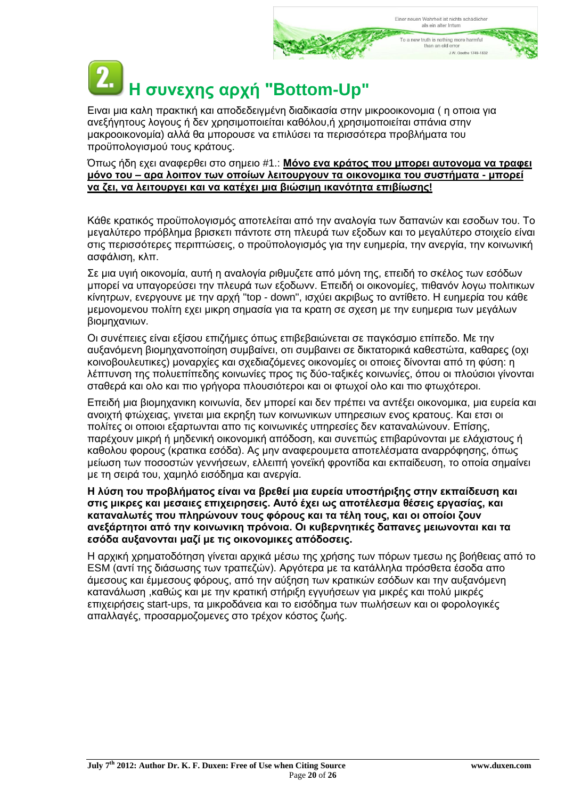# **Η συνεχης αρχή "Βottom-Up"**

Ειναι μια καλη πρακτική και αποδεδειγμένη διαδικασία στην μικροοικονομια ( η οποια για ανεξήγητους λογους ή δεν χρησιμοποιείται καθόλου,ή χρησιμοποιείται σπάνια στην μακροοικονομία) αλλά θα μπορουσε να επιλύσει τα περισσότερα προβλήματα του προϋπολογισμού τους κράτους.

#### Όπως ήδη εχει αναφερθει στο σημειο #1.: **Μόνο ενα κράτος που μπορει αυτονομα να τραφει μόνο του – αρα λοιπον των οποίων λειτουργουν τα οικονομικα του συστήματα - μπορεί να ζει, να λειτουργει και να κατέχει μια βιώσιμη ικανότητα επιβίωσης!**

Κάθε κρατικός προϋπολογισμός αποτελείται από την αναλογία των δαπανών και εσοδων του. Το μεγαλύτερο πρόβλημα βρισκετι πάντοτε στη πλευρά των εξοδων και το μεγαλύτερο στοιχείο είναι στις περισσότερες περιπτώσεις, ο προϋπολογισμός για την ευημερία, την ανεργία, την κοινωνική ασφάλιση, κλπ.

Σε μια υγιή οικονομία, αυτή η αναλογία ριθμυζετε από μόνη της, επειδή το σκέλος των εσόδων μπορεί να υπαγορεύσει την πλευρά των εξοδωνν. Επειδή οι οικονομίες, πιθανόν λογω πολιτικων κίνητρων, ενεργουνε με την αρχή "top - down", ισχύει ακριβως το αντίθετο. Η ευημερία του κάθε μεμονομενου πολίτη εχει μικρη σημασία για τα κρατη σε σχεση με την ευημερια των μεγάλων βιομηχανιων.

Οι συνέπειες είναι εξίσου επιζήμιες όπως επιβεβαιώνεται σε παγκόσμιο επίπεδο. Με την αυξανόμενη βιομηχανοποίηση συμβαίνει, οτι συμβαινει σε δικτατορικά καθεστώτα, καθαρες (οχι κοινοβουλευτικες) μοναρχίες και σχεδιαζόμενες οικονομίες οι οποιες δίνονται από τη φύση: η λέπτυνση της πολυεπίπεδης κοινωνίες προς τις δύο-ταξικές κοινωνίες, όπου οι πλούσιοι γίνονται σταθερά και ολο και πιο γρήγορα πλουσιότεροι και οι φτωχοί ολο και πιο φτωχότεροι.

Επειδή μια βιομηχανικη κοινωνία, δεν μπορεί και δεν πρέπει να αντέξει οικονομικα, μια ευρεία και ανοιχτή φτώχειας, γινεται μια εκρηξη των κοινωνικων υπηρεσιων ενος κρατους. Και ετσι οι πολίτες οι οποιοι εξαρτωνται απο τις κοινωνικές υπηρεσίες δεν καταναλώνουν. Επίσης, παρέχουν μικρή ή μηδενική οικονομική απόδοση, και συνεπώς επιβαρύνονται με ελάχιστους ή καθολου φορους (κρατικα εσόδα). Ας μην αναφερουμετα αποτελέσματα αναρρόφησης, όπως μείωση των ποσοστών γεννήσεων, ελλειπή γονεϊκή φροντίδα και εκπαίδευση, το οποία σημαίνει με τη σειρά του, χαμηλό εισόδημα και ανεργία.

#### **Η λύση του προβλήματος είναι να βρεθεί μια ευρεία υποστήριξης στην εκπαίδευση και στις μικρες και μεσαιες επιχειρησεις. Αυτό έχει ως αποτέλεσμα θέσεις εργασίας, και καταναλωτές που πληρώνουν τους φόρους και τα τέλη τους, και οι οποίοι ζουν ανεξάρτητοι από την κοινωνικη πρόνοια. Οι κυβερνητικές δαπανες μειωνονται και τα εσόδα αυξανονται μαζί με τις οικονομικες απόδοσεις.**

Η αρχική χρηματοδότηση γίνεται αρχικά μέσω της χρήσης των πόρων τμεσω ης βοήθειας από το ESM (αντί της διάσωσης των τραπεζών). Αργότερα με τα κατάλληλα πρόσθετα έσοδα απο άμεσους και έμμεσους φόρους, από την αύξηση των κρατικών εσόδων και την αυξανόμενη κατανάλωση ,καθώς και με την κρατική στήριξη εγγυήσεων για μικρές και πολύ μικρές επιχειρήσεις start-ups, τα μικροδάνεια και το εισόδημα των πωλήσεων και οι φορολογικές απαλλαγές, προσαρμοζομενες στο τρέχον κόστος ζωής.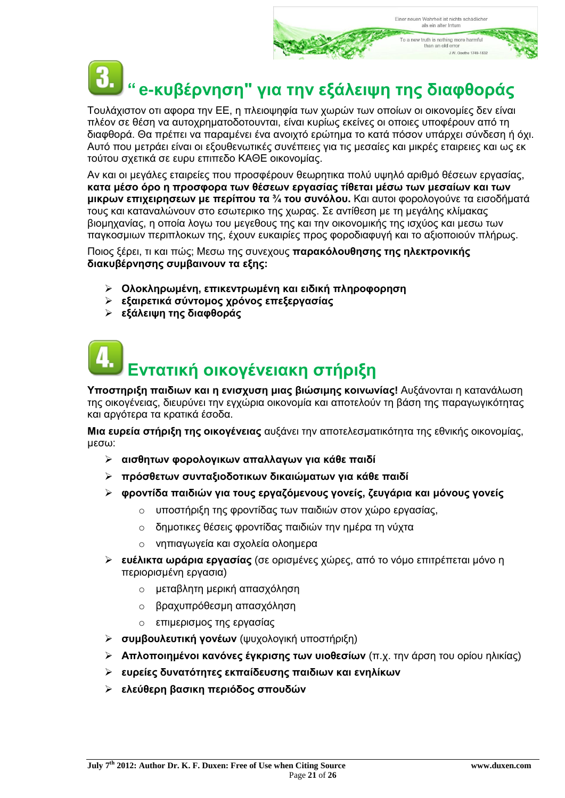# **" e-κυβέρνηση" για την εξάλειψη της διαφθοράς**

Τουλάχιστον οτι αφορα την ΕΕ, η πλειοψηφία των χωρών των οποίων οι οικονομίες δεν είναι πλέον σε θέση να αυτοχρηματοδοτουνται, είναι κυρίως εκείνες οι οποιες υποφέρουν από τη διαφθορά. Θα πρέπει να παραμένει ένα ανοιχτό ερώτημα το κατά πόσον υπάρχει σύνδεση ή όχι. Αυτό που μετράει είναι οι εξουθενωτικές συνέπειες για τις μεσαίες και μικρές εταιρειες και ως εκ τούτου σχετικά σε ευρυ επιπεδο ΚΑΘΕ οικονομίας.

Αν και οι μεγάλες εταιρείες που προσφέρουν θεωρητικα πολύ υψηλό αριθμό θέσεων εργασίας, **κατα μέσο όρο η προσφορα των θέσεων εργασίας τίθεται μέσω των μεσαίων και των μικρων επιχειρησεων με περίπου τα ¾ του συνόλου.** Και αυτοι φορολογούνε τα εισοδήματά τους και καταναλώνουν στο εσωτερικο της χωρας. Σε αντίθεση με τη μεγάλης κλίμακας βιομηχανίας, η οποία λογω του μεγεθους της και την οικονομικής της ισχύος και μεσω των παγκοσμιων περιπλοκων της, έχουν ευκαιρίες προς φοροδιαφυγή και το αξιοποιούν πλήρως.

Ποιος ξέρει, τι και πώς; Μεσω της συνεχους **παρακόλουθησης της ηλεκτρονικής διακυβέρνησης συμβαινουν τα εξης:**

- **Ολοκληρωμένη, επικεντρωμένη και ειδική πληροφορηση**
- **εξαιρετικά σύντομος χρόνος επεξεργασίας**
- **εξάλειψη της διαφθοράς**

# **Εντατική οικογένειακη στήριξη**

**Υποστηριξη παιδιων και η ενισχυση μιας βιώσιμης κοινωνίας!** Αυξάνονται η κατανάλωση της οικογένειας, διευρύνει την εγχώρια οικονομία και αποτελούν τη βάση της παραγωγικότητας και αργότερα τα κρατικά έσοδα.

**Μια ευρεία στήριξη της οικογένειας** αυξάνει την αποτελεσματικότητα της εθνικής οικονομίας, μεσω:

- **αισθητων φορολογικων απαλλαγων για κάθε παιδί**
- **πρόσθετων συνταξιοδοτικων δικαιώματων για κάθε παιδί**
- **φροντίδα παιδιών για τους εργαζόμενους γονείς, ζευγάρια και μόνους γονείς**
	- o υποστήριξη της φροντίδας των παιδιών στον χώρο εργασίας,
	- o δημοτικες θέσεις φροντίδας παιδιών την ημέρα τη νύχτα
	- o νηπιαγωγεία και σχολεία ολοημερα
- **ευέλικτα ωράρια εργασίας** (σε ορισμένες χώρες, από το νόμο επιτρέπεται μόνο η περιορισμένη εργασια)
	- o μεταβλητη μερική απασχόληση
	- o βραχυπρόθεσμη απασχόληση
	- o επιμερισμος της εργασίας
- **συμβουλευτική γονέων** (ψυχολογική υποστήριξη)
- **Απλοποιημένοι κανόνες έγκρισης των υιοθεσίων** (π.χ. την άρση του ορίου ηλικίας)
- **ευρείες δυνατότητες εκπαίδευσης παιδιων και ενηλίκων**
- **ελεύθερη βασικη περιόδος σπουδών**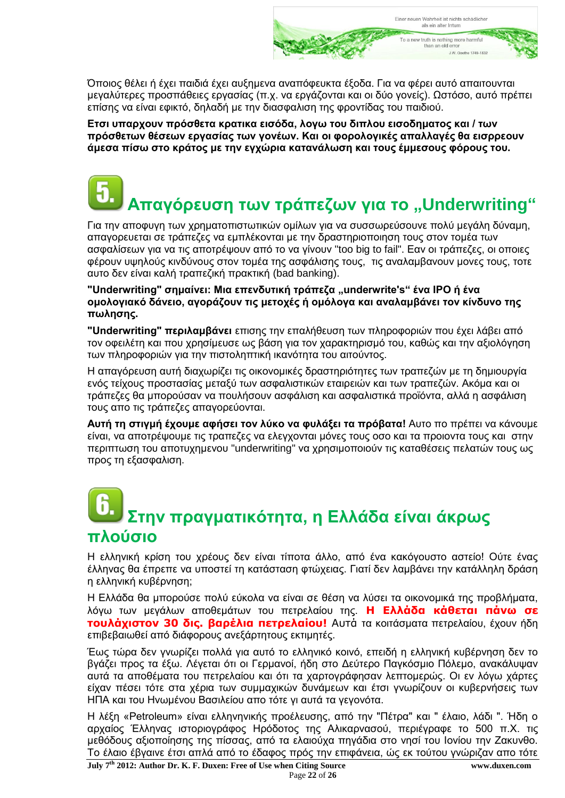

Όποιος θέλει ή έχει παιδιά έχει αυξημενα αναπόφευκτα έξοδα. Για να φέρει αυτό απαιτουνται μεγαλύτερες προσπάθειες εργασίας (π.χ. να εργάζονται και οι δύο γονείς). Ωστόσο, αυτό πρέπει επίσης να είναι εφικτό, δηλαδή με την διασφαλιση της φροντίδας του παιδιού.

**Ετσι υπαρχουν πρόσθετα κρατικα εισόδα, λογω του διπλου εισοδηματος και / των πρόσθετων θέσεων εργασίας των γονέων. Και οι φορολογικές απαλλαγές θα εισρρεουν άμεσα πίσω στο κράτος με την εγχώρια κατανάλωση και τους έμμεσους φόρους του.**

## **Απαγόρευση των τράπεζων για το "Underwriting"**

Για την αποφυγη των χρηματοπιστωτικών ομίλων για να συσσωρεύσουνε πολύ μεγάλη δύναμη, απαγoρευεται σε τράπεζες να εμπλέκονται με την δραστηριοποιηση τους στον τομέα των ασφαλίσεων για να τις αποτρέψουν από το να γίνουν "too big to fail". Εαν οι τράπεζες, οι οποιες φέρουν υψηλούς κινδύνους στον τομέα της ασφάλισης τους, τις αναλαμβανουν μονες τους, τοτε αυτο δεν είναι καλή τραπεζική πρακτική (bad banking).

**"Underwriting" σημαίνει: Μια επενδυτική τράπεζα "underwrite's" ένα IPO ή ένα ομολογιακό δάνειο, αγοράζουν τις μετοχές ή ομόλογα και αναλαμβάνει τον κίνδυνο της πωλησης.**

**"Underwriting" περιλαμβάνει** επισης την επαλήθευση των πληροφοριών που έχει λάβει από τον οφειλέτη και που χρησίμευσε ως βάση για τον χαρακτηρισμό του, καθώς και την αξιολόγηση των πληροφοριών για την πιστοληπτική ικανότητα του αιτούντος.

Η απαγόρευση αυτή διαχωρίζει τις οικονομικές δραστηριότητες των τραπεζών με τη δημιουργία ενός τείχους προστασίας μεταξύ των ασφαλιστικών εταιρειών και των τραπεζών. Ακόμα και οι τράπεζες θα μπορούσαν να πουλήσουν ασφάλιση και ασφαλιστικά προϊόντα, αλλά η ασφάλιση τους απο τις τράπεζες απαγορεύονται.

**Αυτή τη στιγμή έχουμε αφήσει τον λύκο να φυλάξει τα πρόβατα!** Αυτο πο πρέπει να κάνουμε είναι, να αποτρέψουμε τις τραπεζες να ελεγχονται μόνες τους οσο και τα προιοντα τους και στην περιπτωση του αποτυχημενου "underwriting" να χρησιμοποιούν τις καταθέσεις πελατών τους ως προς τη εξασφαλιση.

## **Στην πραγματικότητα, η Ελλάδα είναι άκρως πλούσιο**

Η ελληνική κρίση του χρέους δεν είναι τίποτα άλλο, από ένα κακόγουστο αστείο! Ούτε ένας έλληνας θα έπρεπε να υποστεί τη κατάσταση φτώχειας. Γιατί δεν λαμβάνει την κατάλληλη δράση η ελληνική κυβέρνηση;

Η Ελλάδα θα μπορούσε πολύ εύκολα να είναι σε θέση να λύσει τα οικονομικά της προβλήματα, λόγω των μεγάλων αποθεμάτων του πετρελαίου της. **Η Ελλάδα κάθεται πάνω σε τουλάχιστον 30 δις. βαρέλια πετρελαίου!** Αυτά τα κοιτάσματα πετρελαίου, έχουν ήδη επιβεβαιωθεί από διάφορους ανεξάρτητους εκτιμητές.

Έως τώρα δεν γνωρίζει πολλά για αυτό το ελληνικό κοινό, επειδή η ελληνική κυβέρνηση δεν το βγάζει προς τα έξω. Λέγεται ότι οι Γερμανοί, ήδη στο Δεύτερο Παγκόσμιο Πόλεμο, ανακάλυψαν αυτά τα αποθέματα του πετρελαίου και ότι τα χαρτογράφησαν λεπτομερώς. Οι εν λόγω χάρτες είχαν πέσει τότε στα χέρια των συμμαχικών δυνάμεων και έτσι γνωρίζουν οι κυβερνήσεις των ΗΠΑ και του Ηνωμένου Βασιλείου απο τότε γι αυτά τα γεγονότα.

Η λέξη «Petroleum» είναι ελληνηνικής προέλευσης, από την "Πέτρα" και " έλαιο, λάδι ". Ήδη ο αρχαίος Έλληνας ιστοριογράφος Ηρόδοτος της Αλικαρνασού, περιέγραφε το 500 π.Χ. τις μεθόδους αξιοποίησης της πίσσας, από τα ελαιούχα πηγάδια στο νησί του Ιονίου την Ζακυνθο. Το έλαιο έβγαινε έτσι απλά από το έδαφος πρός την επιφάνεια, ώς εκ τούτου γνώριζαν απο τότε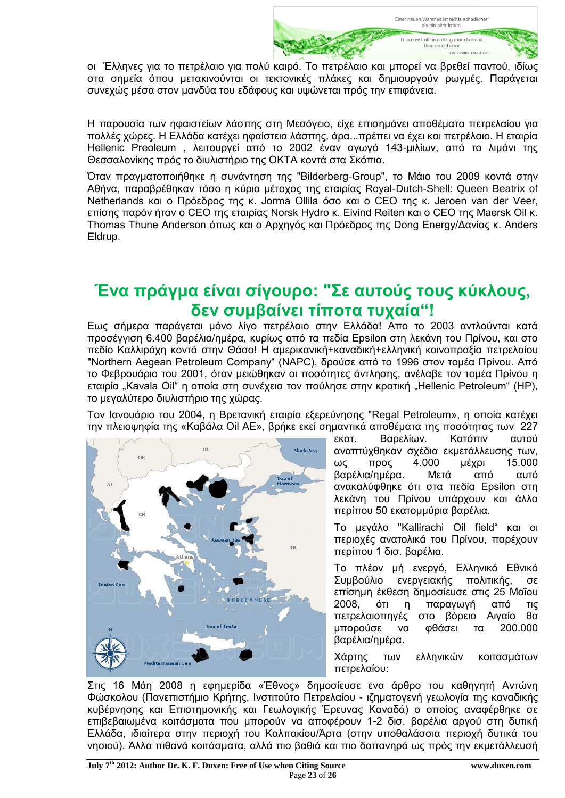

οι Έλληνες για το πετρέλαιο για πολύ καιρό. Το πετρέλαιο και μπορεί να βρεθεί παντού, ιδίως στα σημεία όπου μετακινούνται οι τεκτονικές πλάκες και δημιουργούν ρωγμές. Παράγεται συνεχώς μέσα στον μανδύα του εδάφους και υψώνεται πρός την επιφάνεια.

Η παρουσία των ηφαιστείων λάσπης στη Μεσόγειο, είχε επισημάνει αποθέματα πετρελαίου για πολλές χώρες. Η Ελλάδα κατέχει ηφαίστεια λάσπης, άρα...πρέπει να έχει και πετρέλαιο. Η εταιρία Hellenic Preoleum , λειτουργεί από το 2002 έναν αγωγό 143-μιλίων, από το λιμάνι της Θεσσαλονίκης πρός το διυλιστήριο της ΟΚΤΑ κοντά στα Σκόπια.

Όταν πραγματοποιήθηκε η συνάντηση της "Bilderberg-Group", το Μάιο του 2009 κοντά στην Αθήνα, παραβρέθηκαν τόσο η κύρια μέτοχος της εταιρίας Royal-Dutch-Shell: Queen Beatrix of Netherlands και ο Πρόεδρος της κ. Jorma Ollila όσο και ο CEO της κ. Jeroen van der Veer, επίσης παρόν ήταν ο CEO της εταιρίας Norsk Hydro κ. Eivind Reiten και ο CEO της Maersk Oil κ. Thomas Thune Anderson όπως και ο Αρχηγός και Πρόεδρος της Dong Energy/Δανίας κ. Anders Eldrup.

### **Ένα πράγμα είναι σίγουρο: "Σε αυτούς τους κύκλους, δεν συμβαίνει τίποτα τυχαία"!**

Εως σήμερα παράγεται μόνο λίγο πετρέλαιο στην Ελλάδα! Απο το 2003 αντλούνται κατά προσέγγιση 6.400 βαρέλια/ημέρα, κυρίως από τα πεδία Epsilon στη λεκάνη του Πρίνου, και στο πεδίο Καλλιράχη κοντά στην Θάσο! Η αμερικανική+καναδική+ελληνική κοινοπραξία πετρελαίου "Northern Aegean Petroleum Company" (NAPC), δρούσε από το 1996 στον τομέα Πρίνου. Από το Φεβρουάριο του 2001, όταν μειώθηκαν οι ποσότητες άντλησης, ανέλαβε τον τομέα Πρίνου η εταιρία "Kavala Oil" η οποία στη συνέχεια τον πούλησε στην κρατική "Hellenic Petroleum" (HP), το μεγαλύτερο διυλιστήριο της χώρας.

Τον Ιανουάριο του 2004, η Βρετανική εταιρία εξερεύνησης "Regal Petroleum», η οποία κατέχει την πλειοψηφία της «Καβάλα Oil AE», βρήκε εκεί σημαντικά αποθέματα της ποσότητας των 227



εκατ. Βαρελίων. Κατόπιν αυτού αναπτύχθηκαν σχέδια εκμετάλλευσης των, ως προς 4.000 μέχρι 15.000 βαρέλια/ημέρα. Μετά από αυτό ανακαλύφθηκε ότι στα πεδία Epsilon στη λεκάνη του Πρίνου υπάρχουν και άλλα περίπου 50 εκατομμύρια βαρέλια.

Το μεγάλο "Kallirachi Oil field" και οι περιοχές ανατολικά του Πρίνου, παρέχουν περίπου 1 δισ. βαρέλια.

Το πλέον μή ενεργό, Ελληνικό Εθνικό Συμβούλιο ενεργειακής πολιτικής, σε επίσημη έκθεση δημοσίευσε στις 25 Μαΐου 2008, ότι η παραγωγή από τις πετρελαιοπηγές στο βόρειο Αιγαίο θα μπορούσε να φθάσει τα 200.000 βαρέλια/ημέρα.

Χάρτης των ελληνικών κοιτασμάτων πετρελαίου:

Στις 16 Μάη 2008 η εφημερίδα «Έθνος» δημοσίευσε ενα άρθρο του καθηγητή Αντώνη Φώσκολου (Πανεπιστήμιο Κρήτης, Ινστιτούτο Πετρελαίου - ιζηματογενή γεωλογία της καναδικής κυβέρνησης και Επιστημονικής και Γεωλογικής Έρευνας Καναδά) ο οποίος αναφέρθηκε σε επιβεβαιωμένα κοιτάσματα που μπορούν να αποφέρουν 1-2 δισ. βαρέλια αργού στη δυτική Ελλάδα, ιδιαίτερα στην περιοχή του Καλπακίου/Άρτα (στην υποθαλάσσια περιοχή δυτικά του νησιού). Άλλα πιθανά κοιτάσματα, αλλά πιο βαθιά και πιο δαπανηρά ως πρός την εκμετάλλευσή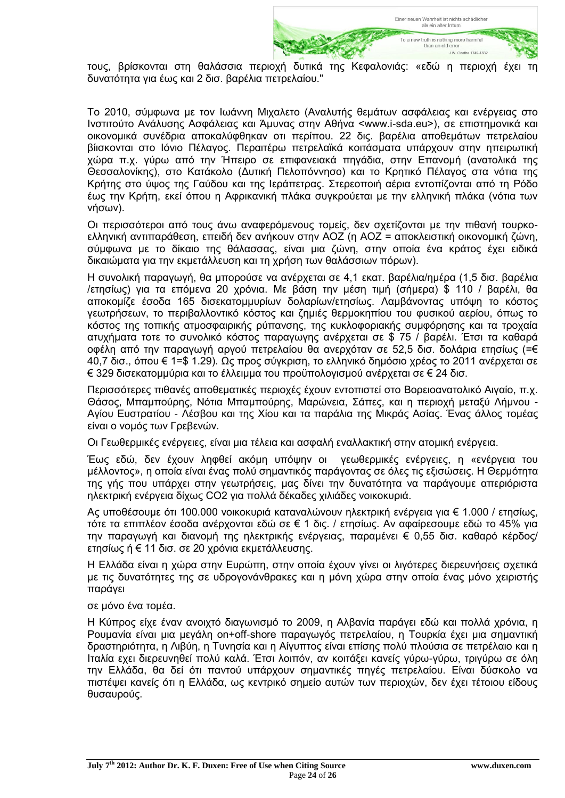

τους, βρίσκονται στη θαλάσσια περιοχή δυτικά της Κεφαλονιάς: «εδώ η περιοχή έχει τη δυνατότητα για έως και 2 δισ. βαρέλια πετρελαίου."

Το 2010, σύμφωνα με τον Ιωάννη Μιχαλετο (Αναλυτής θεμάτων ασφάλειας και ενέργειας στο Ινστιτούτο Ανάλυσης Ασφάλειας και Άμυνας στην Αθήνα <www.i-sda.eu>), σε επιστημονικά και οικονομικά συνέδρια αποκαλύφθηκαν οτι περίπου. 22 δις. βαρέλια αποθεμάτων πετρελαίου βίισκονται στο Ιόνιο Πέλαγος. Περαιτέρω πετρελαϊκά κοιτάσματα υπάρχουν στην ηπειρωτική χώρα π.χ. γύρω από την Ήπειρο σε επιφανειακά πηγάδια, στην Επανομή (ανατολικά της Θεσσαλονίκης), στο Κατάκολο (Δυτική Πελοπόννησο) και το Κρητικό Πέλαγος στα νότια της Κρήτης στο ύψος της Γαύδου και της Ιεράπετρας. Στερεοποιή αέρια εντοπίζονται από τη Ρόδο έως την Κρήτη, εκεί όπου η Αφρικανική πλάκα συγκρούεται με την ελληνική πλάκα (νότια των νήσων).

Οι περισσότεροι από τους άνω αναφερόμενους τομείς, δεν σχετίζονται με την πιθανή τουρκοελληνική αντιπαράθεση, επειδή δεν ανήκουν στην ΑΟΖ (η ΑΟΖ = αποκλειστική οικονομική ζώνη, σύμφωνα με το δίκαιο της θάλασσας, είναι μια ζώνη, στην οποία ένα κράτος έχει ειδικά δικαιώματα για την εκμετάλλευση και τη χρήση των θαλάσσιων πόρων).

Η συνολική παραγωγή, θα μπορούσε να ανέρχεται σε 4,1 εκατ. βαρέλια/ημέρα (1,5 δισ. βαρέλια /ετησίως) για τα επόμενα 20 χρόνια. Με βάση την μέση τιμή (σήμερα) \$ 110 / βαρέλι, θα αποκομίζε έσοδα 165 δισεκατομμυρίων δολαρίων/ετησίως. Λαμβάνοντας υπόψη το κόστος γεωτρήσεων, το περιβαλλοντικό κόστος και ζημιές θερμοκηπίου του φυσικού αερίου, όπως το κόστος της τοπικής ατμοσφαιρικής ρύπανσης, της κυκλοφοριακής συμφόρησης και τα τροχαία ατυχήματα τοτε το συνολικό κόστος παραγωγης ανέρχεται σε \$ 75 / βαρέλι. Έτσι τα καθαρά οφέλη από την παραγωγή αργού πετρελαίου θα ανερχόταν σε 52,5 δισ. δολάρια ετησίως (=€ 40,7 δισ., όπου € 1=\$ 1.29). Ως προς σύγκριση, το ελληνικό δημόσιο χρέος το 2011 ανέρχεται σε € 329 δισεκατομμύρια και το έλλειμμα του προϋπολογισμού ανέρχεται σε € 24 δισ.

Περισσότερες πιθανές αποθεματικές περιοχές έχουν εντοπιστεί στο Βορειοανατολικό Αιγαίο, π.χ. Θάσος, Μπαμπούρης, Νότια Μπαμπούρης, Μαρώνεια, Σάπες, και η περιοχή μεταξύ Λήμνου - Αγίου Ευστρατίου - Λέσβου και της Χίου και τα παράλια της Μικράς Ασίας. Ένας άλλος τομέας είναι ο νομός των Γρεβενών.

Οι Γεωθερμικές ενέργειες, είναι μια τέλεια και ασφαλή εναλλακτική στην ατομική ενέργεια.

Έως εδώ, δεν έχουν ληφθεί ακόμη υπόψην οι γεωθερμικές ενέργειες, η «ενέργεια του μέλλοντος», η οποία είναι ένας πολύ σημαντικός παράγοντας σε όλες τις εξισώσεις. Η Θερμότητα της γής που υπάρχει στην γεωτρήσεις, μας δίνει την δυνατότητα να παράγουμε απεριόριστα ηλεκτρική ενέργεια δίχως CO2 για πολλά δέκαδες χιλιάδες νοικοκυριά.

Ας υποθέσουμε ότι 100.000 νοικοκυριά καταναλώνουν ηλεκτρική ενέργεια για € 1.000 / ετησίως, τότε τα επιπλέον έσοδα ανέρχονται εδώ σε € 1 δις. / ετησίως. Αν αφαίρεσουμε εδώ το 45% για την παραγωγή και διανομή της ηλεκτρικής ενέργειας, παραμένει € 0,55 δισ. καθαρό κέρδος/ ετησίως ή € 11 δισ. σε 20 χρόνια εκμετάλλευσης.

Η Ελλάδα είναι η χώρα στην Ευρώπη, στην οποία έχουν γίνει οι λιγότερες διερευνήσεις σχετικά με τις δυνατότητες της σε υδρογονάνθρακες και η μόνη χώρα στην οποία ένας μόνο χειριστής παράγει

σε μόνο ένα τομέα.

Η Κύπρος είχε έναν ανοιχτό διαγωνισμό το 2009, η Αλβανία παράγει εδώ και πολλά χρόνια, η Ρουμανία είναι μια μεγάλη on+off-shore παραγωγός πετρελαίου, η Τουρκία έχει μια σημαντική δραστηριότητα, η Λιβύη, η Τυνησία και η Αίγυπτος είναι επίσης πολύ πλούσια σε πετρέλαιο και η Ιταλία εχει διερευνηθεί πολύ καλά. Έτσι λοιπόν, αν κοιτάξει κανείς γύρω-γύρω, τριγύρω σε όλη την Ελλάδα, θα δεί ότι παντού υπάρχουν σημαντικές πηγές πετρελαίου. Είναι δύσκολο να πιστέψει κανείς ότι η Ελλάδα, ως κεντρικό σημείο αυτών των περιοχών, δεν έχει τέτοιου είδους θυσαυρούς.